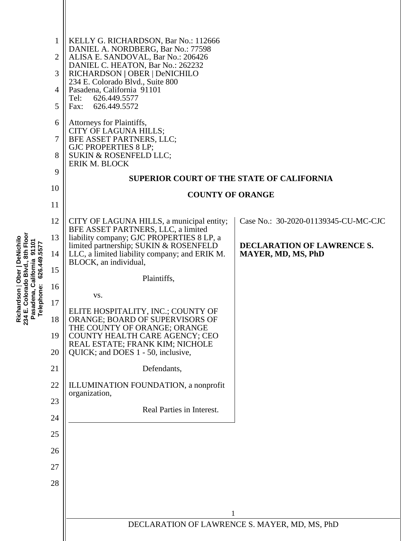| 8th Floo<br>Richardson   Ober   DeNichilo<br>234 E. Colorado Blvd., 8th Floor<br>Pasadena, California 91101<br>Telephone: 626.449.5577 | $\mathbf{1}$<br>$\overline{2}$<br>3<br>4<br>5<br>6<br>7<br>8<br>9<br>10 | KELLY G. RICHARDSON, Bar No.: 112666<br>DANIEL A. NORDBERG, Bar No.: 77598<br>ALISA E. SANDOVAL, Bar No.: 206426<br>DANIEL C. HEATON, Bar No.: 262232<br>RICHARDSON   OBER   DeNICHILO<br>234 E. Colorado Blvd., Suite 800<br>Pasadena, California 91101<br>Tel:<br>626.449.5577<br>626.449.5572<br>Fax:<br>Attorneys for Plaintiffs,<br>CITY OF LAGUNA HILLS;<br>BFE ASSET PARTNERS, LLC;<br>GJC PROPERTIES 8 LP;<br>SUKIN & ROSENFELD LLC;<br>ERIK M. BLOCK<br><b>SUPERIOR COURT OF THE STATE OF CALIFORNIA</b><br><b>COUNTY OF ORANGE</b> |                                                         |  |
|----------------------------------------------------------------------------------------------------------------------------------------|-------------------------------------------------------------------------|----------------------------------------------------------------------------------------------------------------------------------------------------------------------------------------------------------------------------------------------------------------------------------------------------------------------------------------------------------------------------------------------------------------------------------------------------------------------------------------------------------------------------------------------|---------------------------------------------------------|--|
|                                                                                                                                        | 11                                                                      |                                                                                                                                                                                                                                                                                                                                                                                                                                                                                                                                              |                                                         |  |
|                                                                                                                                        | 12                                                                      | CITY OF LAGUNA HILLS, a municipal entity;<br>BFE ASSET PARTNERS, LLC, a limited                                                                                                                                                                                                                                                                                                                                                                                                                                                              | Case No.: 30-2020-01139345-CU-MC-CJC                    |  |
|                                                                                                                                        | 13<br>14                                                                | liability company; GJC PROPERTIES 8 LP, a<br>limited partnership; SUKIN & ROSENFELD<br>LLC, a limited liability company; and ERIK M.                                                                                                                                                                                                                                                                                                                                                                                                         | DECLARATION OF LAWRENCE S.<br><b>MAYER, MD, MS, PhD</b> |  |
|                                                                                                                                        | 15                                                                      | BLOCK, an individual,                                                                                                                                                                                                                                                                                                                                                                                                                                                                                                                        |                                                         |  |
|                                                                                                                                        | 16                                                                      | Plaintiffs,                                                                                                                                                                                                                                                                                                                                                                                                                                                                                                                                  |                                                         |  |
|                                                                                                                                        |                                                                         | VS.                                                                                                                                                                                                                                                                                                                                                                                                                                                                                                                                          |                                                         |  |
|                                                                                                                                        | 17                                                                      | ELITE HOSPITALITY, INC.; COUNTY OF                                                                                                                                                                                                                                                                                                                                                                                                                                                                                                           |                                                         |  |
|                                                                                                                                        | 18<br>19                                                                | ORANGE; BOARD OF SUPERVISORS OF<br>THE COUNTY OF ORANGE; ORANGE<br>COUNTY HEALTH CARE AGENCY; CEO                                                                                                                                                                                                                                                                                                                                                                                                                                            |                                                         |  |
|                                                                                                                                        | 20                                                                      | REAL ESTATE; FRANK KIM; NICHOLE<br>QUICK; and DOES 1 - 50, inclusive,                                                                                                                                                                                                                                                                                                                                                                                                                                                                        |                                                         |  |
|                                                                                                                                        | 21                                                                      | Defendants,                                                                                                                                                                                                                                                                                                                                                                                                                                                                                                                                  |                                                         |  |
|                                                                                                                                        | 22                                                                      | ILLUMINATION FOUNDATION, a nonprofit<br>organization,                                                                                                                                                                                                                                                                                                                                                                                                                                                                                        |                                                         |  |
|                                                                                                                                        | 23                                                                      | Real Parties in Interest.                                                                                                                                                                                                                                                                                                                                                                                                                                                                                                                    |                                                         |  |
|                                                                                                                                        | 24                                                                      |                                                                                                                                                                                                                                                                                                                                                                                                                                                                                                                                              |                                                         |  |
|                                                                                                                                        | 25                                                                      |                                                                                                                                                                                                                                                                                                                                                                                                                                                                                                                                              |                                                         |  |
|                                                                                                                                        | 26                                                                      |                                                                                                                                                                                                                                                                                                                                                                                                                                                                                                                                              |                                                         |  |
|                                                                                                                                        | 27                                                                      |                                                                                                                                                                                                                                                                                                                                                                                                                                                                                                                                              |                                                         |  |
|                                                                                                                                        | 28                                                                      |                                                                                                                                                                                                                                                                                                                                                                                                                                                                                                                                              |                                                         |  |
|                                                                                                                                        |                                                                         |                                                                                                                                                                                                                                                                                                                                                                                                                                                                                                                                              |                                                         |  |
|                                                                                                                                        |                                                                         | 1                                                                                                                                                                                                                                                                                                                                                                                                                                                                                                                                            |                                                         |  |
|                                                                                                                                        |                                                                         | DECLARATION OF LAWRENCE S. MAYER, MD, MS, PhD                                                                                                                                                                                                                                                                                                                                                                                                                                                                                                |                                                         |  |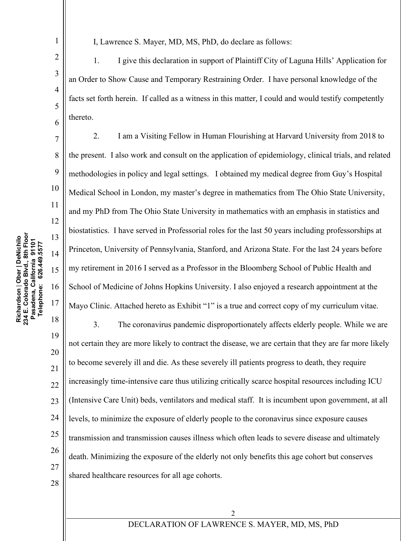2

I, Lawrence S. Mayer, MD, MS, PhD, do declare as follows:

1. I give this declaration in support of Plaintiff City of Laguna Hills' Application for an Order to Show Cause and Temporary Restraining Order. I have personal knowledge of the facts set forth herein. If called as a witness in this matter, I could and would testify competently thereto.

2. I am a Visiting Fellow in Human Flourishing at Harvard University from 2018 to the present. I also work and consult on the application of epidemiology, clinical trials, and related methodologies in policy and legal settings. I obtained my medical degree from Guy's Hospital Medical School in London, my master's degree in mathematics from The Ohio State University, and my PhD from The Ohio State University in mathematics with an emphasis in statistics and biostatistics. I have served in Professorial roles for the last 50 years including professorships at Princeton, University of Pennsylvania, Stanford, and Arizona State. For the last 24 years before my retirement in 2016 I served as a Professor in the Bloomberg School of Public Health and School of Medicine of Johns Hopkins University. I also enjoyed a research appointment at the Mayo Clinic. Attached hereto as Exhibit "1" is a true and correct copy of my curriculum vitae.

18 19 20 21 22 23 24 25 26 27 28 3. The coronavirus pandemic disproportionately affects elderly people. While we are not certain they are more likely to contract the disease, we are certain that they are far more likely to become severely ill and die. As these severely ill patients progress to death, they require increasingly time-intensive care thus utilizing critically scarce hospital resources including ICU (Intensive Care Unit) beds, ventilators and medical staff. It is incumbent upon government, at all levels, to minimize the exposure of elderly people to the coronavirus since exposure causes transmission and transmission causes illness which often leads to severe disease and ultimately death. Minimizing the exposure of the elderly not only benefits this age cohort but conserves shared healthcare resources for all age cohorts.

2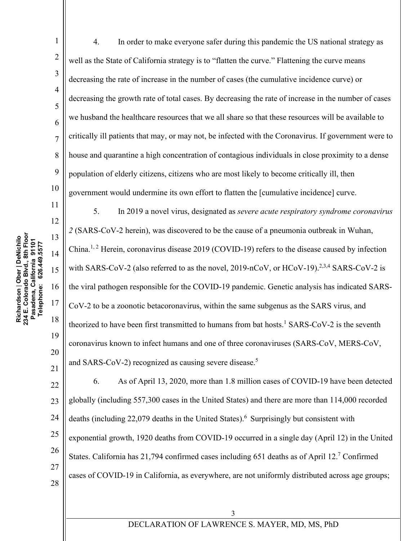Richardson | Ober | DeNichilo<br>234 E. Colorado Blvd., 8th Floor<br>Pasadena, California 91101 **234 E. Colorado Blvd., 8th Floor Richardson** | **Ober | DeNichilo Pasadena, California 91101** Telephone: 626.449.5577 **Telephone: 626.449.5577** 1

2

3

4

5

6

7

8

9

10

11

12

13

14

15

16

17

18

19

20

21

4. In order to make everyone safer during this pandemic the US national strategy as well as the State of California strategy is to "flatten the curve." Flattening the curve means decreasing the rate of increase in the number of cases (the cumulative incidence curve) or decreasing the growth rate of total cases. By decreasing the rate of increase in the number of cases we husband the healthcare resources that we all share so that these resources will be available to critically ill patients that may, or may not, be infected with the Coronavirus. If government were to house and quarantine a high concentration of contagious individuals in close proximity to a dense population of elderly citizens, citizens who are most likely to become critically ill, then government would undermine its own effort to flatten the [cumulative incidence] curve.

5. In 2019 a novel virus, designated as *severe acute respiratory syndrome coronavirus 2* (SARS-CoV-2 herein), was discovered to be the cause of a pneumonia outbreak in Wuhan, China.<sup>1, 2</sup> Herein, coronavirus disease 2019 (COVID-19) refers to the disease caused by infection with SARS-CoV-2 (also referred to as the novel, 2019-nCoV, or  $HCoV-19$ ).<sup>2,3,4</sup> SARS-CoV-2 is the viral pathogen responsible for the COVID-19 pandemic. Genetic analysis has indicated SARS-CoV-2 to be a zoonotic betacoronavirus, within the same subgenus as the SARS virus, and theorized to have been first transmitted to humans from bat hosts.<sup>1</sup> SARS-CoV-2 is the seventh coronavirus known to infect humans and one of three coronaviruses (SARS-CoV, MERS-CoV, and SARS-CoV-2) recognized as causing severe disease.<sup>5</sup>

22 23 24 25 26 27 28 6. As of April 13, 2020, more than 1.8 million cases of COVID-19 have been detected globally (including 557,300 cases in the United States) and there are more than 114,000 recorded deaths (including  $22,079$  deaths in the United States).<sup>6</sup> Surprisingly but consistent with exponential growth, 1920 deaths from COVID-19 occurred in a single day (April 12) in the United States. California has 21,794 confirmed cases including 651 deaths as of April 12.<sup>7</sup> Confirmed cases of COVID-19 in California, as everywhere, are not uniformly distributed across age groups;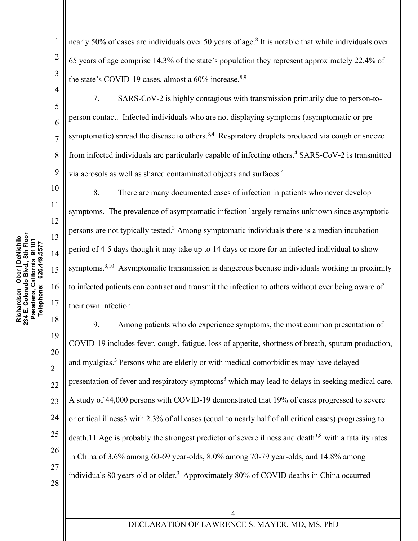9

10

11

12

13

14

15

16

17

1

2

nearly 50% of cases are individuals over 50 years of age.<sup>8</sup> It is notable that while individuals over 65 years of age comprise 14.3% of the state's population they represent approximately 22.4% of the state's COVID-19 cases, almost a  $60\%$  increase.<sup>8,9</sup>

7. SARS-CoV-2 is highly contagious with transmission primarily due to person-toperson contact. Infected individuals who are not displaying symptoms (asymptomatic or presymptomatic) spread the disease to others.<sup>3,4</sup> Respiratory droplets produced via cough or sneeze from infected individuals are particularly capable of infecting others.<sup>4</sup> SARS-CoV-2 is transmitted via aerosols as well as shared contaminated objects and surfaces.<sup>4</sup>

8. There are many documented cases of infection in patients who never develop symptoms. The prevalence of asymptomatic infection largely remains unknown since asymptotic persons are not typically tested.3 Among symptomatic individuals there is a median incubation period of 4-5 days though it may take up to 14 days or more for an infected individual to show symptoms.<sup>3,10</sup> Asymptomatic transmission is dangerous because individuals working in proximity to infected patients can contract and transmit the infection to others without ever being aware of their own infection.

18 19 20 21 22 23 24 25 26 27 28 9. Among patients who do experience symptoms, the most common presentation of COVID-19 includes fever, cough, fatigue, loss of appetite, shortness of breath, sputum production, and myalgias.<sup>3</sup> Persons who are elderly or with medical comorbidities may have delayed presentation of fever and respiratory symptoms<sup>3</sup> which may lead to delays in seeking medical care. A study of 44,000 persons with COVID-19 demonstrated that 19% of cases progressed to severe or critical illness3 with 2.3% of all cases (equal to nearly half of all critical cases) progressing to death.11 Age is probably the strongest predictor of severe illness and death<sup>3,8</sup> with a fatality rates in China of 3.6% among 60-69 year-olds, 8.0% among 70-79 year-olds, and 14.8% among individuals 80 years old or older.<sup>3</sup> Approximately 80% of COVID deaths in China occurred

4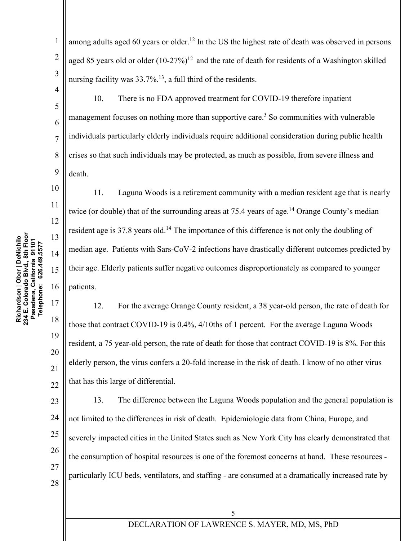**Richardson** | **Ober | DeNichilo 234 E. Colorado Blvd., 8th Floor**

18

19

20

21

22

1

2

3

among adults aged 60 years or older.<sup>12</sup> In the US the highest rate of death was observed in persons aged 85 years old or older  $(10-27%)^{12}$  and the rate of death for residents of a Washington skilled nursing facility was 33.7%.<sup>13</sup>, a full third of the residents.

10. There is no FDA approved treatment for COVID-19 therefore inpatient management focuses on nothing more than supportive care.<sup>3</sup> So communities with vulnerable individuals particularly elderly individuals require additional consideration during public health crises so that such individuals may be protected, as much as possible, from severe illness and death.

11. Laguna Woods is a retirement community with a median resident age that is nearly twice (or double) that of the surrounding areas at 75.4 years of age.<sup>14</sup> Orange County's median resident age is 37.8 years old.<sup>14</sup> The importance of this difference is not only the doubling of median age. Patients with Sars-CoV-2 infections have drastically different outcomes predicted by their age. Elderly patients suffer negative outcomes disproportionately as compared to younger patients.

12. For the average Orange County resident, a 38 year-old person, the rate of death for those that contract COVID-19 is 0.4%, 4/10ths of 1 percent. For the average Laguna Woods resident, a 75 year-old person, the rate of death for those that contract COVID-19 is 8%. For this elderly person, the virus confers a 20-fold increase in the risk of death. I know of no other virus that has this large of differential.

23 24 25 26 27 28 13. The difference between the Laguna Woods population and the general population is not limited to the differences in risk of death. Epidemiologic data from China, Europe, and severely impacted cities in the United States such as New York City has clearly demonstrated that the consumption of hospital resources is one of the foremost concerns at hand. These resources particularly ICU beds, ventilators, and staffing - are consumed at a dramatically increased rate by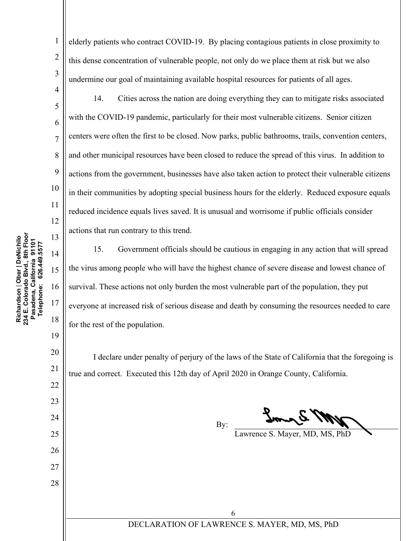19

20

21

22

23

24

25

26

27

28

elderly patients who contract COVID-19. By placing contagious patients in close proximity to this dense concentration of vulnerable people, not only do we place them at risk but we also undermine our goal of maintaining available hospital resources for patients of all ages.

1

2

3

4

14. Cities across the nation are doing everything they can to mitigate risks associated with the COVID-19 pandemic, particularly for their most vulnerable citizens. Senior citizen centers were often the first to be closed. Now parks, public bathrooms, trails, convention centers, and other municipal resources have been closed to reduce the spread of this virus. In addition to actions from the government, businesses have also taken action to protect their vulnerable citizens in their communities by adopting special business hours for the elderly. Reduced exposure equals reduced incidence equals lives saved. It is unusual and worrisome if public officials consider actions that run contrary to this trend.

15. Government officials should be cautious in engaging in any action that will spread the virus among people who will have the highest chance of severe disease and lowest chance of survival. These actions not only burden the most vulnerable part of the population, they put everyone at increased risk of serious disease and death by consuming the resources needed to care for the rest of the population.

I declare under penalty of perjury of the laws of the State of California that the foregoing is true and correct. Executed this 12th day of April 2020 in Orange County, California.

By:

Lawrence S. Mayer, MD, MS, PhD

# DECLARATION OF LAWRENCE S. MAYER, MD, MS, PhD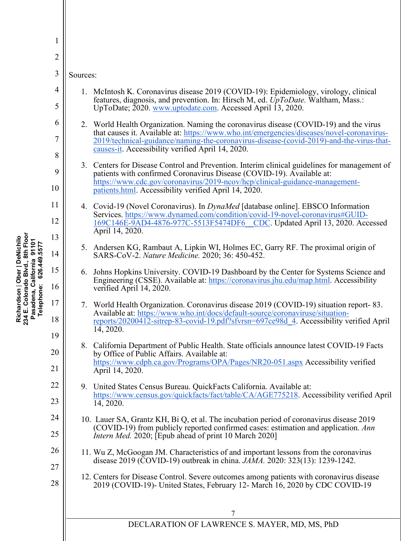| 1              |                                                                                                                                                                                                                                                                                 |  |  |
|----------------|---------------------------------------------------------------------------------------------------------------------------------------------------------------------------------------------------------------------------------------------------------------------------------|--|--|
| $\overline{2}$ |                                                                                                                                                                                                                                                                                 |  |  |
| 3              | Sources:                                                                                                                                                                                                                                                                        |  |  |
| $\overline{4}$ | 1. McIntosh K. Coronavirus disease 2019 (COVID-19): Epidemiology, virology, clinical<br>features, diagnosis, and prevention. In: Hirsch M, ed. UpToDate. Waltham, Mass.:                                                                                                        |  |  |
| 5              | UpToDate; 2020. www.uptodate.com. Accessed April 13, 2020.                                                                                                                                                                                                                      |  |  |
| 6              | 2. World Health Organization. Naming the coronavirus disease (COVID-19) and the virus<br>that causes it. Available at: https://www.who.int/emergencies/diseases/novel-coronavirus-                                                                                              |  |  |
| 7<br>8         | 2019/technical-guidance/naming-the-coronavirus-disease-(covid-2019)-and-the-virus-that-<br>causes-it. Accessibility verified April 14, 2020.                                                                                                                                    |  |  |
| 9              | 3. Centers for Disease Control and Prevention. Interim clinical guidelines for management of<br>patients with confirmed Coronavirus Disease (COVID-19). Available at:                                                                                                           |  |  |
| 10             | https://www.cdc.gov/coronavirus/2019-ncov/hcp/clinical-guidance-management-<br>patients.html. Accessibility verified April 14, 2020.                                                                                                                                            |  |  |
| 11             | 4. Covid-19 (Novel Coronavirus). In <i>DynaMed</i> [database online]. EBSCO Information<br>Services. https://www.dynamed.com/condition/covid-19-novel-coronavirus#GUID-                                                                                                         |  |  |
| 12             | 169C146E-9AD4-4876-977C-5513F5474DF6 CDC. Updated April 13, 2020. Accessed<br>April 14, 2020.                                                                                                                                                                                   |  |  |
| 13<br>14       | 5. Andersen KG, Rambaut A, Lipkin WI, Holmes EC, Garry RF. The proximal origin of<br>SARS-CoV-2. Nature Medicine. 2020; 36: 450-452.                                                                                                                                            |  |  |
| 15             | Johns Hopkins University. COVID-19 Dashboard by the Center for Systems Science and<br>6.<br>Engineering (CSSE). Available at: https://coronavirus.jhu.edu/map.html. Accessibility                                                                                               |  |  |
| 16             | verified April 14, 2020.                                                                                                                                                                                                                                                        |  |  |
| 17<br>18       | 7. World Health Organization. Coronavirus disease 2019 (COVID-19) situation report-83.<br>Available at: https://www.who.int/docs/default-source/coronaviruse/situation-<br>reports/20200412-sitrep-83-covid-19.pdf?sfvrsn=697ce98d 4. Accessibility verified April<br>14, 2020. |  |  |
| 19             | 8. California Department of Public Health. State officials announce latest COVID-19 Facts                                                                                                                                                                                       |  |  |
| 20             | by Office of Public Affairs. Available at:<br>https://www.cdph.ca.gov/Programs/OPA/Pages/NR20-051.aspx Accessibility verified                                                                                                                                                   |  |  |
| 21             | April 14, 2020.                                                                                                                                                                                                                                                                 |  |  |
| 22<br>23       | 9. United States Census Bureau. QuickFacts California. Available at:<br>https://www.census.gov/quickfacts/fact/table/CA/AGE775218. Accessibility verified April                                                                                                                 |  |  |
| 24             | 14, 2020.                                                                                                                                                                                                                                                                       |  |  |
| 25             | 10. Lauer SA, Grantz KH, Bi Q, et al. The incubation period of coronavirus disease 2019<br>(COVID-19) from publicly reported confirmed cases: estimation and application. Ann<br><i>Intern Med.</i> 2020; [Epub ahead of print 10 March 2020]                                   |  |  |
| 26             | 11. Wu Z, McGoogan JM. Characteristics of and important lessons from the coronavirus<br>disease 2019 (COVID-19) outbreak in china. <i>JAMA</i> . 2020: 323(13): 1239-1242.                                                                                                      |  |  |
| 27<br>28       | 12. Centers for Disease Control. Severe outcomes among patients with coronavirus disease<br>2019 (COVID-19)- United States, February 12- March 16, 2020 by CDC COVID-19                                                                                                         |  |  |
|                |                                                                                                                                                                                                                                                                                 |  |  |
|                | DECLARATION OF LAWRENCE S. MAYER, MD, MS, PhD                                                                                                                                                                                                                                   |  |  |
|                |                                                                                                                                                                                                                                                                                 |  |  |

Richardson | Ober | DeNichilo<br>234 E. Colorado Blvd., 8th Floor<br>Pasadena, California 91101<br>Telephone: 626.449.5577 **234 E. Colorado Blvd., 8th Floor Richardson** | **Ober | DeNichilo Pasadena, California 91101 Telephone: 626.449.5577**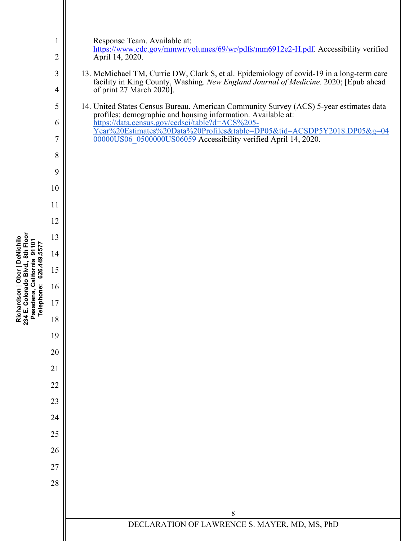| $\mathbf{1}$ | Response Team. Available at:                                                                                                                                                      |
|--------------|-----------------------------------------------------------------------------------------------------------------------------------------------------------------------------------|
| 2            | https://www.cdc.gov/mmwr/volumes/69/wr/pdfs/mm6912e2-H.pdf. Accessibility verified<br>April 14, 2020.                                                                             |
| 3            | 13. McMichael TM, Currie DW, Clark S, et al. Epidemiology of covid-19 in a long-term care<br>facility in King County, Washing. New England Journal of Medicine. 2020; [Epub ahead |
| 4            | of print 27 March 2020].                                                                                                                                                          |
| 5            | 14. United States Census Bureau. American Community Survey (ACS) 5-year estimates data<br>profiles: demographic and housing information. Available at:                            |
| 6            | https://data.census.gov/cedsci/table?d=ACS%205-<br>Year%20Estimates%20Data%20Profiles&table=DP05&tid=ACSDP5Y2018.DP05&g=04                                                        |
| 7            | 00000US06_0500000US06059 Accessibility verified April 14, 2020.                                                                                                                   |
| 8            |                                                                                                                                                                                   |
| 9            |                                                                                                                                                                                   |
| 10           |                                                                                                                                                                                   |
| 11<br>12     |                                                                                                                                                                                   |
| 13           |                                                                                                                                                                                   |
| 14           |                                                                                                                                                                                   |
| 15           |                                                                                                                                                                                   |
| 16           |                                                                                                                                                                                   |
| 17           |                                                                                                                                                                                   |
| 18           |                                                                                                                                                                                   |
| 19           |                                                                                                                                                                                   |
| 20           |                                                                                                                                                                                   |
| 21           |                                                                                                                                                                                   |
| 22           |                                                                                                                                                                                   |
| 23           |                                                                                                                                                                                   |
| 24           |                                                                                                                                                                                   |
| 25           |                                                                                                                                                                                   |
| 26           |                                                                                                                                                                                   |
| 27<br>28     |                                                                                                                                                                                   |
|              |                                                                                                                                                                                   |
|              | 8                                                                                                                                                                                 |
|              | DECLARATION OF LAWRENCE S. MAYER, MD, MS, PhD                                                                                                                                     |
|              |                                                                                                                                                                                   |

Richardson | Ober | DeNichilo<br>234 E. Colorado Blvd., 8th Floor<br>Pasadena, California 91101<br>Telephone: 626.449.5577 **234 E. Colorado Blvd., 8th Floor Richardson** | **Ober | DeNichilo Pasadena, California 91101 Telephone: 626.449.5577**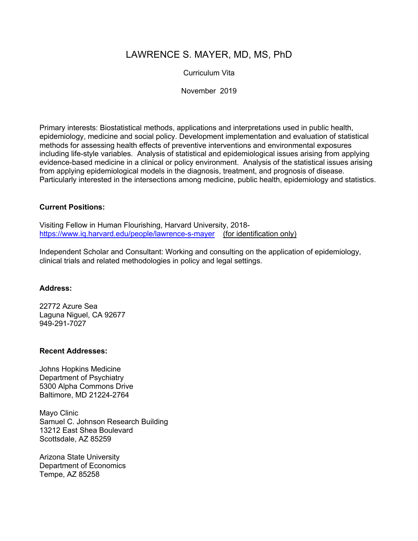# LAWRENCE S. MAYER, MD, MS, PhD

# Curriculum Vita

November 2019

Primary interests: Biostatistical methods, applications and interpretations used in public health, epidemiology, medicine and social policy. Development implementation and evaluation of statistical methods for assessing health effects of preventive interventions and environmental exposures including life-style variables. Analysis of statistical and epidemiological issues arising from applying evidence-based medicine in a clinical or policy environment. Analysis of the statistical issues arising from applying epidemiological models in the diagnosis, treatment, and prognosis of disease. Particularly interested in the intersections among medicine, public health, epidemiology and statistics.

### **Current Positions:**

Visiting Fellow in Human Flourishing, Harvard University, 2018 https://www.iq.harvard.edu/people/lawrence-s-mayer (for identification only)

Independent Scholar and Consultant: Working and consulting on the application of epidemiology, clinical trials and related methodologies in policy and legal settings.

#### **Address:**

22772 Azure Sea Laguna Niguel, CA 92677 949-291-7027

#### **Recent Addresses:**

Johns Hopkins Medicine Department of Psychiatry 5300 Alpha Commons Drive Baltimore, MD 21224-2764

Mayo Clinic Samuel C. Johnson Research Building 13212 East Shea Boulevard Scottsdale, AZ 85259

Arizona State University Department of Economics Tempe, AZ 85258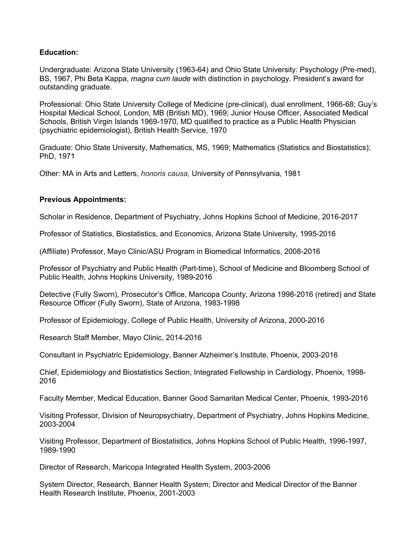# **Education:**

Undergraduate: Arizona State University (1963-64) and Ohio State University: Psychology (Pre-med), BS, 1967, Phi Beta Kappa, *magna cum laude* with distinction in psychology. President's award for outstanding graduate.

Professional: Ohio State University College of Medicine (pre-clinical), dual enrollment, 1966-68; Guy's Hospital Medical School, London, MB (British MD), 1969; Junior House Officer, Associated Medical Schools, British Virgin Islands 1969-1970, MD qualified to practice as a Public Health Physician (psychiatric epidemiologist), British Health Service, 1970

Graduate: Ohio State University, Mathematics, MS, 1969; Mathematics (Statistics and Biostatistics); PhD, 1971

Other: MA in Arts and Letters, *honoris causa,* University of Pennsylvania, 1981

### **Previous Appointments:**

Scholar in Residence, Department of Psychiatry, Johns Hopkins School of Medicine, 2016-2017

Professor of Statistics, Biostatistics, and Economics, Arizona State University, 1995-2016

(Affiliate) Professor, Mayo Clinic/ASU Program in Biomedical Informatics, 2008-2016

Professor of Psychiatry and Public Health (Part-time), School of Medicine and Bloomberg School of Public Health, Johns Hopkins University, 1989-2016

Detective (Fully Sworn), Prosecutor's Office, Maricopa County, Arizona 1998-2016 (retired) and State Resource Officer (Fully Sworn), State of Arizona, 1983-1998

Professor of Epidemiology, College of Public Health, University of Arizona, 2000-2016

Research Staff Member, Mayo Clinic, 2014-2016

Consultant in Psychiatric Epidemiology, Banner Alzheimer's Institute, Phoenix, 2003-2016

Chief, Epidemiology and Biostatistics Section, Integrated Fellowship in Cardiology, Phoenix, 1998- 2016

Faculty Member, Medical Education, Banner Good Samaritan Medical Center, Phoenix, 1993-2016

Visiting Professor, Division of Neuropsychiatry, Department of Psychiatry, Johns Hopkins Medicine, 2003-2004

Visiting Professor, Department of Biostatistics, Johns Hopkins School of Public Health, 1996-1997, 1989-1990

Director of Research, Maricopa Integrated Health System, 2003-2006

System Director, Research, Banner Health System; Director and Medical Director of the Banner Health Research Institute, Phoenix, 2001-2003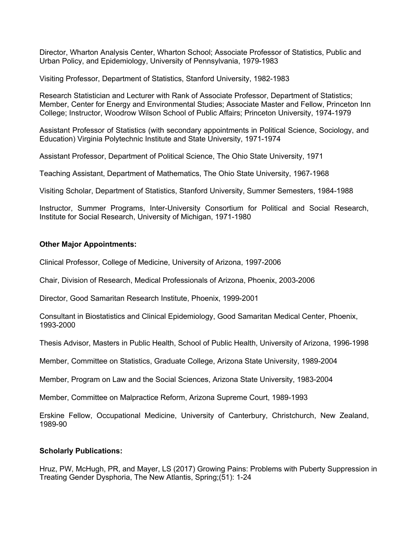Director, Wharton Analysis Center, Wharton School; Associate Professor of Statistics, Public and Urban Policy, and Epidemiology, University of Pennsylvania, 1979-1983

Visiting Professor, Department of Statistics, Stanford University, 1982-1983

Research Statistician and Lecturer with Rank of Associate Professor, Department of Statistics; Member, Center for Energy and Environmental Studies; Associate Master and Fellow, Princeton Inn College; Instructor, Woodrow Wilson School of Public Affairs; Princeton University, 1974-1979

Assistant Professor of Statistics (with secondary appointments in Political Science, Sociology, and Education) Virginia Polytechnic Institute and State University, 1971-1974

Assistant Professor, Department of Political Science, The Ohio State University, 1971

Teaching Assistant, Department of Mathematics, The Ohio State University, 1967-1968

Visiting Scholar, Department of Statistics, Stanford University, Summer Semesters, 1984-1988

Instructor, Summer Programs, Inter-University Consortium for Political and Social Research, Institute for Social Research, University of Michigan, 1971-1980

#### **Other Major Appointments:**

Clinical Professor, College of Medicine, University of Arizona, 1997-2006

Chair, Division of Research, Medical Professionals of Arizona, Phoenix, 2003-2006

Director, Good Samaritan Research Institute, Phoenix, 1999-2001

Consultant in Biostatistics and Clinical Epidemiology, Good Samaritan Medical Center, Phoenix, 1993-2000

Thesis Advisor, Masters in Public Health, School of Public Health, University of Arizona, 1996-1998

Member, Committee on Statistics, Graduate College, Arizona State University, 1989-2004

Member, Program on Law and the Social Sciences, Arizona State University, 1983-2004

Member, Committee on Malpractice Reform, Arizona Supreme Court, 1989-1993

Erskine Fellow, Occupational Medicine, University of Canterbury, Christchurch, New Zealand, 1989-90

#### **Scholarly Publications:**

Hruz, PW, McHugh, PR, and Mayer, LS (2017) Growing Pains: Problems with Puberty Suppression in Treating Gender Dysphoria, The New Atlantis, Spring;(51): 1-24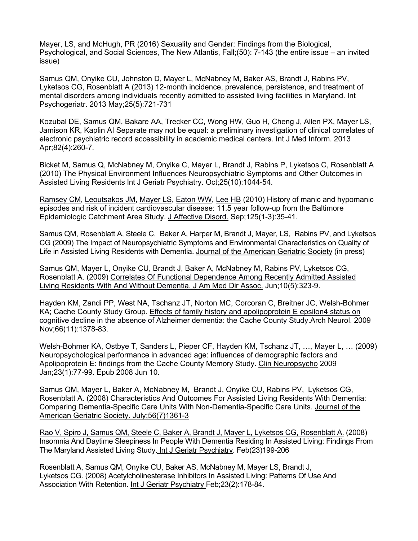Mayer, LS, and McHugh, PR (2016) Sexuality and Gender: Findings from the Biological, Psychological, and Social Sciences, The New Atlantis, Fall;(50): 7-143 (the entire issue – an invited issue)

Samus QM, Onyike CU, Johnston D, Mayer L, McNabney M, Baker AS, Brandt J, Rabins PV, Lyketsos CG, Rosenblatt A (2013) 12-month incidence, prevalence, persistence, and treatment of mental disorders among individuals recently admitted to assisted living facilities in Maryland. Int Psychogeriatr. 2013 May;25(5):721-731

Kozubal DE, Samus QM, Bakare AA, Trecker CC, Wong HW, Guo H, Cheng J, Allen PX, Mayer LS, Jamison KR, Kaplin AI Separate may not be equal: a preliminary investigation of clinical correlates of electronic psychiatric record accessibility in academic medical centers. Int J Med Inform. 2013 Apr;82(4):260-7.

Bicket M, Samus Q, McNabney M, Onyike C, Mayer L, Brandt J, Rabins P, Lyketsos C, Rosenblatt A (2010) The Physical Environment Influences Neuropsychiatric Symptoms and Other Outcomes in Assisted Living Residents Int J Geriatr Psychiatry. Oct;25(10):1044-54.

Ramsey CM, Leoutsakos JM, Mayer LS, Eaton WW, Lee HB (2010) History of manic and hypomanic episodes and risk of incident cardiovascular disease: 11.5 year follow-up from the Baltimore Epidemiologic Catchment Area Study. J Affective Disord. Sep;125(1-3):35-41.

Samus QM, Rosenblatt A, Steele C, Baker A, Harper M, Brandt J, Mayer, LS, Rabins PV, and Lyketsos CG (2009) The Impact of Neuropsychiatric Symptoms and Environmental Characteristics on Quality of Life in Assisted Living Residents with Dementia. Journal of the American Geriatric Society (in press)

Samus QM, Mayer L, Onyike CU, Brandt J, Baker A, McNabney M, Rabins PV, Lyketsos CG, Rosenblatt A. (2009) Correlates Of Functional Dependence Among Recently Admitted Assisted Living Residents With And Without Dementia. J Am Med Dir Assoc. Jun;10(5):323-9.

Hayden KM, Zandi PP, West NA, Tschanz JT, Norton MC, Corcoran C, Breitner JC, Welsh-Bohmer KA; Cache County Study Group. Effects of family history and apolipoprotein E epsilon4 status on cognitive decline in the absence of Alzheimer dementia: the Cache County Study.Arch Neurol. 2009 Nov;66(11):1378-83.

Welsh-Bohmer KA, Ostbye T, Sanders L, Pieper CF, Hayden KM, Tschanz JT, …, Mayer L, … (2009) Neuropsychological performance in advanced age: influences of demographic factors and Apolipoprotein E: findings from the Cache County Memory Study. Clin Neuropsycho 2009 Jan;23(1):77-99. Epub 2008 Jun 10.

Samus QM, Mayer L, Baker A, McNabney M, Brandt J, Onyike CU, Rabins PV, Lyketsos CG, Rosenblatt A. (2008) Characteristics And Outcomes For Assisted Living Residents With Dementia: Comparing Dementia-Specific Care Units With Non-Dementia-Specific Care Units. Journal of the American Geriatric Society. July;56(7)1361-3

Rao V, Spiro J, Samus QM, Steele C, Baker A, Brandt J, Mayer L, Lyketsos CG, Rosenblatt A. (2008) Insomnia And Daytime Sleepiness In People With Dementia Residing In Assisted Living: Findings From The Maryland Assisted Living Study. Int J Geriatr Psychiatry. Feb(23)199-206

Rosenblatt A, Samus QM, Onyike CU, Baker AS, McNabney M, Mayer LS, Brandt J, Lyketsos CG. (2008) Acetylcholinesterase Inhibitors In Assisted Living: Patterns Of Use And Association With Retention. Int J Geriatr Psychiatry Feb;23(2):178-84.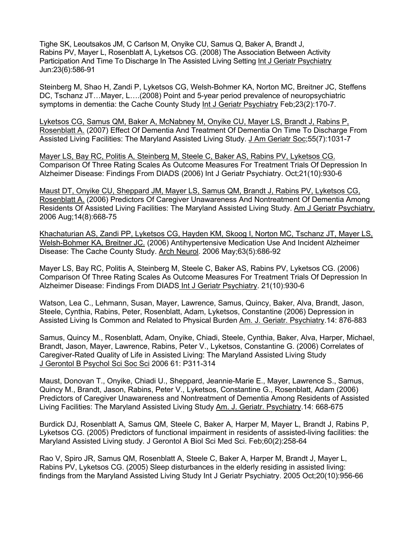Tighe SK, Leoutsakos JM, C Carlson M, Onyike CU, Samus Q, Baker A, Brandt J, Rabins PV, Mayer L, Rosenblatt A, Lyketsos CG. (2008) The Association Between Activity Participation And Time To Discharge In The Assisted Living Setting Int J Geriatr Psychiatry Jun:23(6):586-91

Steinberg M, Shao H, Zandi P, Lyketsos CG, Welsh-Bohmer KA, Norton MC, Breitner JC, Steffens DC, Tschanz JT…Mayer, L….(2008) Point and 5-year period prevalence of neuropsychiatric symptoms in dementia: the Cache County Study Int J Geriatr Psychiatry Feb;23(2):170-7.

Lyketsos CG, Samus QM, Baker A, McNabney M, Onyike CU, Mayer LS, Brandt J, Rabins P, Rosenblatt A. (2007) Effect Of Dementia And Treatment Of Dementia On Time To Discharge From Assisted Living Facilities: The Maryland Assisted Living Study. J Am Geriatr Soc; 55(7): 1031-7

Mayer LS, Bay RC, Politis A, Steinberg M, Steele C, Baker AS, Rabins PV, Lyketsos CG. Comparison Of Three Rating Scales As Outcome Measures For Treatment Trials Of Depression In Alzheimer Disease: Findings From DIADS (2006) Int J Geriatr Psychiatry. Oct;21(10):930-6

Maust DT, Onyike CU, Sheppard JM, Mayer LS, Samus QM, Brandt J, Rabins PV, Lyketsos CG, Rosenblatt A. (2006) Predictors Of Caregiver Unawareness And Nontreatment Of Dementia Among Residents Of Assisted Living Facilities: The Maryland Assisted Living Study. Am J Geriatr Psychiatry. 2006 Aug;14(8):668-75

Khachaturian AS, Zandi PP, Lyketsos CG, Hayden KM, Skoog I, Norton MC, Tschanz JT, Mayer LS, Welsh-Bohmer KA, Breitner JC. (2006) Antihypertensive Medication Use And Incident Alzheimer Disease: The Cache County Study. Arch Neurol. 2006 May;63(5):686-92

Mayer LS, Bay RC, Politis A, Steinberg M, Steele C, Baker AS, Rabins PV, Lyketsos CG. (2006) Comparison Of Three Rating Scales As Outcome Measures For Treatment Trials Of Depression In Alzheimer Disease: Findings From DIADS Int J Geriatr Psychiatry. 21(10):930-6

Watson, Lea C., Lehmann, Susan, Mayer, Lawrence, Samus, Quincy, Baker, Alva, Brandt, Jason, Steele, Cynthia, Rabins, Peter, Rosenblatt, Adam, Lyketsos, Constantine (2006) Depression in Assisted Living Is Common and Related to Physical Burden Am. J. Geriatr. Psychiatry.14: 876-883

Samus, Quincy M., Rosenblatt, Adam, Onyike, Chiadi, Steele, Cynthia, Baker, Alva, Harper, Michael, Brandt, Jason, Mayer, Lawrence, Rabins, Peter V., Lyketsos, Constantine G. (2006) Correlates of Caregiver-Rated Quality of Life in Assisted Living: The Maryland Assisted Living Study J Gerontol B Psychol Sci Soc Sci 2006 61: P311-314

Maust, Donovan T., Onyike, Chiadi U., Sheppard, Jeannie-Marie E., Mayer, Lawrence S., Samus, Quincy M., Brandt, Jason, Rabins, Peter V., Lyketsos, Constantine G., Rosenblatt, Adam (2006) Predictors of Caregiver Unawareness and Nontreatment of Dementia Among Residents of Assisted Living Facilities: The Maryland Assisted Living Study Am. J. Geriatr. Psychiatry.14: 668-675

Burdick DJ, Rosenblatt A, Samus QM, Steele C, Baker A, Harper M, Mayer L, Brandt J, Rabins P, Lyketsos CG. (2005) Predictors of functional impairment in residents of assisted-living facilities: the Maryland Assisted Living study. J Gerontol A Biol Sci Med Sci. Feb;60(2):258-64

Rao V, Spiro JR, Samus QM, Rosenblatt A, Steele C, Baker A, Harper M, Brandt J, Mayer L, Rabins PV, Lyketsos CG. (2005) Sleep disturbances in the elderly residing in assisted living: findings from the Maryland Assisted Living Study Int J Geriatr Psychiatry. 2005 Oct;20(10):956-66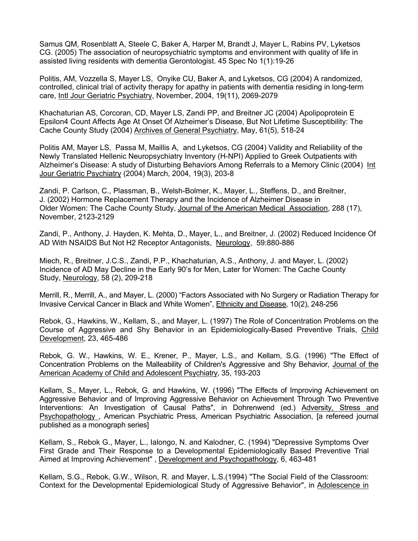Samus QM, Rosenblatt A, Steele C, Baker A, Harper M, Brandt J, Mayer L, Rabins PV, Lyketsos CG. (2005) The association of neuropsychiatric symptoms and environment with quality of life in assisted living residents with dementia Gerontologist. 45 Spec No 1(1):19-26

Politis, AM, Vozzella S, Mayer LS, Onyike CU, Baker A, and Lyketsos, CG (2004) A randomized, controlled, clinical trial of activity therapy for apathy in patients with dementia residing in long-term care, Intl Jour Geriatric Psychiatry, November, 2004, 19(11), 2069-2079

Khachaturian AS, Corcoran, CD, Mayer LS, Zandi PP, and Breitner JC (2004) Apolipoprotein E Epsilon4 Count Affects Age At Onset Of Alzheimer's Disease, But Not Lifetime Susceptibility: The Cache County Study (2004) Archives of General Psychiatry, May, 61(5), 518-24

Politis AM, Mayer LS, Passa M, Maillis A, and Lyketsos, CG (2004) Validity and Reliability of the Newly Translated Hellenic Neuropsychiatry Inventory (H-NPI) Applied to Greek Outpatients with Alzheimer's Disease: A study of Disturbing Behaviors Among Referrals to a Memory Clinic (2004) Int Jour Geriatric Psychiatry (2004) March, 2004, 19(3), 203-8

Zandi, P. Carlson, C., Plassman, B., Welsh-Bolmer, K., Mayer, L., Steffens, D., and Breitner, J. (2002) Hormone Replacement Therapy and the Incidence of Alzheimer Disease in Older Women: The Cache County Study, Journal of the American Medical Association, 288 (17), November, 2123-2129

Zandi, P., Anthony, J. Hayden, K. Mehta, D., Mayer, L., and Breitner, J. (2002) Reduced Incidence Of AD With NSAIDS But Not H2 Receptor Antagonists, Neurology, 59:880-886

Miech, R., Breitner, J.C.S., Zandi, P.P., Khachaturian, A.S., Anthony, J. and Mayer, L. (2002) Incidence of AD May Decline in the Early 90's for Men, Later for Women: The Cache County Study, Neurology, 58 (2), 209-218

Merrill, R., Merrill, A., and Mayer, L. (2000) "Factors Associated with No Surgery or Radiation Therapy for Invasive Cervical Cancer in Black and White Women", Ethnicity and Disease, 10(2), 248-256

Rebok, G., Hawkins, W., Kellam, S., and Mayer, L. (1997) The Role of Concentration Problems on the Course of Aggressive and Shy Behavior in an Epidemiologically-Based Preventive Trials, Child Development, 23, 465-486

Rebok, G. W., Hawkins, W. E., Krener, P., Mayer, L.S., and Kellam, S.G. (1996) "The Effect of Concentration Problems on the Malleability of Children's Aggressive and Shy Behavior, Journal of the American Academy of Child and Adolescent Psychiatry, 35, 193-203

Kellam, S., Mayer, L., Rebok, G. and Hawkins, W. (1996) "The Effects of Improving Achievement on Aggressive Behavior and of Improving Aggressive Behavior on Achievement Through Two Preventive Interventions: An Investigation of Causal Paths", in Dohrenwend (ed.) Adversity, Stress and Psychopathology , American Psychiatric Press, American Psychiatric Association, [a refereed journal published as a monograph series]

Kellam, S., Rebok G., Mayer, L., Ialongo, N. and Kalodner, C. (1994) "Depressive Symptoms Over First Grade and Their Response to a Developmental Epidemiologically Based Preventive Trial Aimed at Improving Achievement" , Development and Psychopathology, 6, 463-481

Kellam, S.G., Rebok, G.W., Wilson, R. and Mayer, L.S.(1994) "The Social Field of the Classroom: Context for the Developmental Epidemiological Study of Aggressive Behavior", in Adolescence in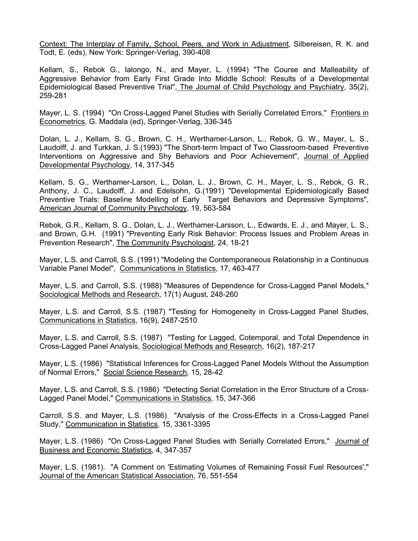Context: The Interplay of Family, School, Peers, and Work in Adjustment, Silbereisen, R. K. and Todt, E. (eds), New York: Springer-Verlag, 390-408

Kellam, S., Rebok G., Ialongo, N., and Mayer, L. (1994) "The Course and Malleability of Aggressive Behavior from Early First Grade Into Middle School: Results of a Developmental Epidemiological Based Preventive Trial", The Journal of Child Psychology and Psychiatry, 35(2), 259-281

Mayer, L. S. (1994) "On Cross-Lagged Panel Studies with Serially Correlated Errors," Frontiers in Econometrics, G. Maddala (ed), Springer-Verlag, 336-345

Dolan, L. J., Kellam, S. G., Brown, C. H., Werthamer-Larson, L., Rebok, G. W., Mayer, L. S., Laudolff, J. and Turkkan, J. S.(1993) "The Short-term Impact of Two Classroom-based Preventive Interventions on Aggressive and Shy Behaviors and Poor Achievement", Journal of Applied Developmental Psychology, 14, 317-345

Kellam, S. G., Werthamer-Larson, L., Dolan, L. J., Brown, C. H., Mayer, L. S., Rebok, G. R., Anthony, J. C., Laudolff, J. and Edelsohn, G.(1991) "Developmental Epidemiologically Based Preventive Trials: Baseline Modelling of Early Target Behaviors and Depressive Symptoms", American Journal of Community Psychology, 19, 563-584

Rebok, G.R., Kellam, S. G., Dolan, L. J., Werthamer-Larsson, L., Edwards, E. J., and Mayer, L. S., and Brown, G.H. (1991) "Preventing Early Risk Behavior: Process Issues and Problem Areas in Prevention Research", The Community Psychologist, 24, 18-21

Mayer, L.S. and Carroll, S.S. (1991) "Modeling the Contemporaneous Relationship in a Continuous Variable Panel Model", Communications in Statistics, 17, 463-477

Mayer, L.S. and Carroll, S.S. (1988) "Measures of Dependence for Cross-Lagged Panel Models," Sociological Methods and Research, 17(1) August, 248-260

Mayer, L.S. and Carroll, S.S. (1987) "Testing for Homogeneity in Cross-Lagged Panel Studies, Communications in Statistics, 16(9), 2487-2510

Mayer, L.S. and Carroll, S.S. (1987) "Testing for Lagged, Cotemporal, and Total Dependence in Cross-Lagged Panel Analysis, Sociological Methods and Research, 16(2), 187-217

Mayer, L.S. (1986) "Statistical Inferences for Cross-Lagged Panel Models Without the Assumption of Normal Errors," Social Science Research, 15, 28-42

Mayer, L.S. and Carroll, S.S. (1986) "Detecting Serial Correlation in the Error Structure of a Cross-Lagged Panel Model," Communications in Statistics, 15, 347-366

Carroll, S.S. and Mayer, L.S. (1986) "Analysis of the Cross-Effects in a Cross-Lagged Panel Study," Communication in Statistics, 15, 3361-3395

Mayer, L.S. (1986) "On Cross-Lagged Panel Studies with Serially Correlated Errors," Journal of Business and Economic Statistics, 4, 347-357

Mayer, L.S. (1981). "A Comment on 'Estimating Volumes of Remaining Fossil Fuel Resources'," Journal of the American Statistical Association, 76, 551-554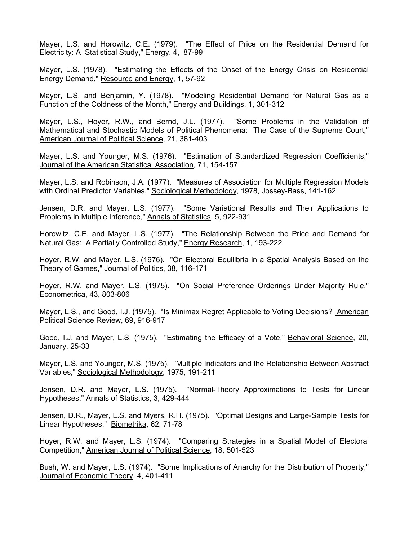Mayer, L.S. and Horowitz, C.E. (1979). "The Effect of Price on the Residential Demand for Electricity: A Statistical Study," Energy, 4, 87-99

Mayer, L.S. (1978). "Estimating the Effects of the Onset of the Energy Crisis on Residential Energy Demand," Resource and Energy, 1, 57-92

Mayer, L.S. and Benjamin, Y. (1978). "Modeling Residential Demand for Natural Gas as a Function of the Coldness of the Month," Energy and Buildings, 1, 301-312

Mayer, L.S., Hoyer, R.W., and Bernd, J.L. (1977). "Some Problems in the Validation of Mathematical and Stochastic Models of Political Phenomena: The Case of the Supreme Court," American Journal of Political Science, 21, 381-403

Mayer, L.S. and Younger, M.S. (1976). "Estimation of Standardized Regression Coefficients," Journal of the American Statistical Association, 71, 154-157

Mayer, L.S. and Robinson, J.A. (1977). "Measures of Association for Multiple Regression Models with Ordinal Predictor Variables," Sociological Methodology, 1978, Jossey-Bass, 141-162

Jensen, D.R. and Mayer, L.S. (1977). "Some Variational Results and Their Applications to Problems in Multiple Inference," Annals of Statistics, 5, 922-931

Horowitz, C.E. and Mayer, L.S. (1977). "The Relationship Between the Price and Demand for Natural Gas: A Partially Controlled Study," Energy Research, 1, 193-222

Hoyer, R.W. and Mayer, L.S. (1976). "On Electoral Equilibria in a Spatial Analysis Based on the Theory of Games," Journal of Politics, 38, 116-171

Hoyer, R.W. and Mayer, L.S. (1975). "On Social Preference Orderings Under Majority Rule," Econometrica, 43, 803-806

Mayer, L.S., and Good, I.J. (1975). "Is Minimax Regret Applicable to Voting Decisions? American Political Science Review, 69, 916-917

Good, I.J. and Mayer, L.S. (1975). "Estimating the Efficacy of a Vote," Behavioral Science, 20, January, 25-33

Mayer, L.S. and Younger, M.S. (1975). "Multiple Indicators and the Relationship Between Abstract Variables," Sociological Methodology, 1975, 191-211

Jensen, D.R. and Mayer, L.S. (1975). "Normal-Theory Approximations to Tests for Linear Hypotheses," Annals of Statistics, 3, 429-444

Jensen, D.R., Mayer, L.S. and Myers, R.H. (1975). "Optimal Designs and Large-Sample Tests for Linear Hypotheses," Biometrika, 62, 71-78

Hoyer, R.W. and Mayer, L.S. (1974). "Comparing Strategies in a Spatial Model of Electoral Competition," American Journal of Political Science, 18, 501-523

Bush, W. and Mayer, L.S. (1974). "Some Implications of Anarchy for the Distribution of Property," Journal of Economic Theory, 4, 401-411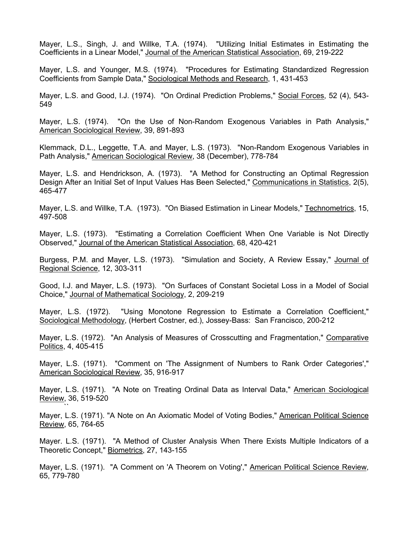Mayer, L.S., Singh, J. and Willke, T.A. (1974). "Utilizing Initial Estimates in Estimating the Coefficients in a Linear Model," Journal of the American Statistical Association, 69, 219-222

Mayer, L.S. and Younger, M.S. (1974). "Procedures for Estimating Standardized Regression Coefficients from Sample Data," Sociological Methods and Research, 1, 431-453

Mayer, L.S. and Good, I.J. (1974). "On Ordinal Prediction Problems," Social Forces, 52 (4), 543- 549

Mayer, L.S. (1974). "On the Use of Non-Random Exogenous Variables in Path Analysis," American Sociological Review, 39, 891-893

Klemmack, D.L., Leggette, T.A. and Mayer, L.S. (1973). "Non-Random Exogenous Variables in Path Analysis," American Sociological Review, 38 (December), 778-784

Mayer, L.S. and Hendrickson, A. (1973). "A Method for Constructing an Optimal Regression Design After an Initial Set of Input Values Has Been Selected," Communications in Statistics, 2(5), 465-477

Mayer, L.S. and Willke, T.A. (1973). "On Biased Estimation in Linear Models," Technometrics, 15, 497-508

Mayer, L.S. (1973). "Estimating a Correlation Coefficient When One Variable is Not Directly Observed," Journal of the American Statistical Association, 68, 420-421

Burgess, P.M. and Mayer, L.S. (1973). "Simulation and Society, A Review Essay," Journal of Regional Science, 12, 303-311

Good, I.J. and Mayer, L.S. (1973). "On Surfaces of Constant Societal Loss in a Model of Social Choice," Journal of Mathematical Sociology, 2, 209-219

Mayer, L.S. (1972). "Using Monotone Regression to Estimate a Correlation Coefficient," Sociological Methodology, (Herbert Costner, ed.), Jossey-Bass: San Francisco, 200-212

Mayer, L.S. (1972). "An Analysis of Measures of Crosscutting and Fragmentation," Comparative Politics, 4, 405-415

Mayer, L.S. (1971). "Comment on 'The Assignment of Numbers to Rank Order Categories'," American Sociological Review, 35, 916-917

Mayer, L.S. (1971). "A Note on Treating Ordinal Data as Interval Data," American Sociological Review, 36, 519-520

Mayer, L.S. (1971). "A Note on An Axiomatic Model of Voting Bodies," American Political Science Review, 65, 764-65

 $\ddot{\phantom{0}}$ 

Mayer. L.S. (1971). "A Method of Cluster Analysis When There Exists Multiple Indicators of a Theoretic Concept," Biometrics, 27, 143-155

Mayer, L.S. (1971). "A Comment on 'A Theorem on Voting'," American Political Science Review, 65, 779-780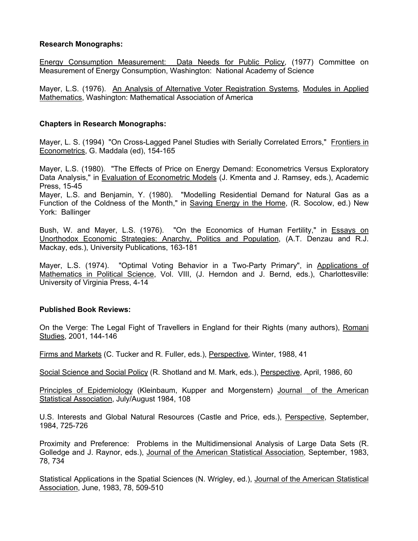### **Research Monographs:**

Energy Consumption Measurement: Data Needs for Public Policy, (1977) Committee on Measurement of Energy Consumption, Washington: National Academy of Science

Mayer, L.S. (1976). An Analysis of Alternative Voter Registration Systems, Modules in Applied Mathematics, Washington: Mathematical Association of America

### **Chapters in Research Monographs:**

Mayer, L. S. (1994) "On Cross-Lagged Panel Studies with Serially Correlated Errors," Frontiers in Econometrics, G. Maddala (ed), 154-165

Mayer, L.S. (1980). "The Effects of Price on Energy Demand: Econometrics Versus Exploratory Data Analysis," in Evaluation of Econometric Models (J. Kmenta and J. Ramsey, eds.), Academic Press, 15-45

Mayer, L.S. and Benjamin, Y. (1980). "Modelling Residential Demand for Natural Gas as a Function of the Coldness of the Month," in Saving Energy in the Home, (R. Socolow, ed.) New York: Ballinger

Bush, W. and Mayer, L.S. (1976). "On the Economics of Human Fertility," in Essays on Unorthodox Economic Strategies: Anarchy, Politics and Population, (A.T. Denzau and R.J. Mackay, eds.), University Publications, 163-181

Mayer, L.S. (1974). "Optimal Voting Behavior in a Two-Party Primary", in Applications of Mathematics in Political Science, Vol. VIII, (J. Herndon and J. Bernd, eds.), Charlottesville: University of Virginia Press, 4-14

### **Published Book Reviews:**

On the Verge: The Legal Fight of Travellers in England for their Rights (many authors), Romani Studies, 2001, 144-146

Firms and Markets (C. Tucker and R. Fuller, eds.), Perspective, Winter, 1988, 41

Social Science and Social Policy (R. Shotland and M. Mark, eds.), Perspective, April, 1986, 60

Principles of Epidemiology (Kleinbaum, Kupper and Morgenstern) Journal of the American Statistical Association, July/August 1984, 108

U.S. Interests and Global Natural Resources (Castle and Price, eds.), Perspective, September, 1984, 725-726

Proximity and Preference: Problems in the Multidimensional Analysis of Large Data Sets (R. Golledge and J. Raynor, eds.), Journal of the American Statistical Association, September, 1983, 78, 734

Statistical Applications in the Spatial Sciences (N. Wrigley, ed.), Journal of the American Statistical Association, June, 1983, 78, 509-510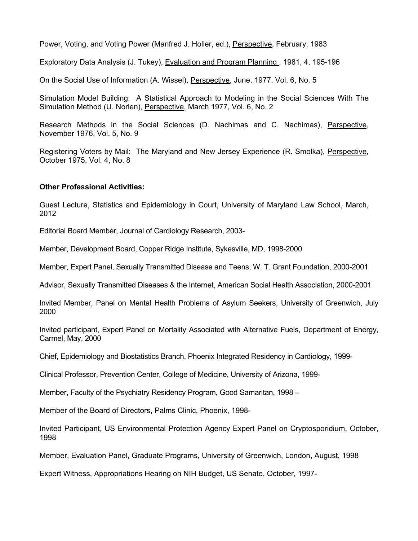Power, Voting, and Voting Power (Manfred J. Holler, ed.), Perspective, February, 1983

Exploratory Data Analysis (J. Tukey), Evaluation and Program Planning , 1981, 4, 195-196

On the Social Use of Information (A. Wissel), Perspective, June, 1977, Vol. 6, No. 5

Simulation Model Building: A Statistical Approach to Modeling in the Social Sciences With The Simulation Method (U. Norlen), Perspective, March 1977, Vol. 6, No. 2

Research Methods in the Social Sciences (D. Nachimas and C. Nachimas), Perspective, November 1976, Vol. 5, No. 9

Registering Voters by Mail: The Maryland and New Jersey Experience (R. Smolka), Perspective, October 1975, Vol. 4, No. 8

### **Other Professional Activities:**

Guest Lecture, Statistics and Epidemiology in Court, University of Maryland Law School, March, 2012

Editorial Board Member, Journal of Cardiology Research, 2003-

Member, Development Board, Copper Ridge Institute, Sykesville, MD, 1998-2000

Member, Expert Panel, Sexually Transmitted Disease and Teens, W. T. Grant Foundation, 2000-2001

Advisor, Sexually Transmitted Diseases & the Internet, American Social Health Association, 2000-2001

Invited Member, Panel on Mental Health Problems of Asylum Seekers, University of Greenwich, July 2000

Invited participant, Expert Panel on Mortality Associated with Alternative Fuels, Department of Energy, Carmel, May, 2000

Chief, Epidemiology and Biostatistics Branch, Phoenix Integrated Residency in Cardiology, 1999-

Clinical Professor, Prevention Center, College of Medicine, University of Arizona, 1999-

Member, Faculty of the Psychiatry Residency Program, Good Samaritan, 1998 –

Member of the Board of Directors, Palms Clinic, Phoenix, 1998-

Invited Participant, US Environmental Protection Agency Expert Panel on Cryptosporidium, October, 1998

Member, Evaluation Panel, Graduate Programs, University of Greenwich, London, August, 1998

Expert Witness, Appropriations Hearing on NIH Budget, US Senate, October, 1997-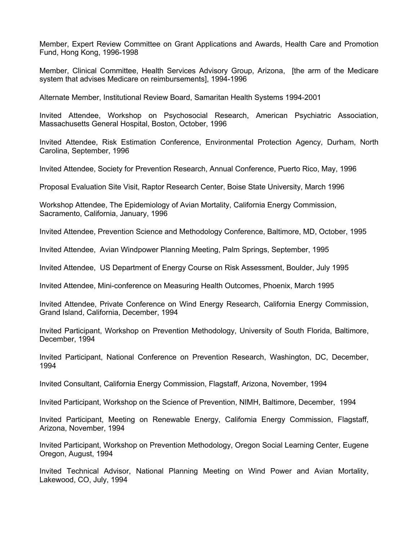Member, Expert Review Committee on Grant Applications and Awards, Health Care and Promotion Fund, Hong Kong, 1996-1998

Member, Clinical Committee, Health Services Advisory Group, Arizona, [the arm of the Medicare system that advises Medicare on reimbursements], 1994-1996

Alternate Member, Institutional Review Board, Samaritan Health Systems 1994-2001

Invited Attendee, Workshop on Psychosocial Research, American Psychiatric Association, Massachusetts General Hospital, Boston, October, 1996

Invited Attendee, Risk Estimation Conference, Environmental Protection Agency, Durham, North Carolina, September, 1996

Invited Attendee, Society for Prevention Research, Annual Conference, Puerto Rico, May, 1996

Proposal Evaluation Site Visit, Raptor Research Center, Boise State University, March 1996

Workshop Attendee, The Epidemiology of Avian Mortality, California Energy Commission, Sacramento, California, January, 1996

Invited Attendee, Prevention Science and Methodology Conference, Baltimore, MD, October, 1995

Invited Attendee, Avian Windpower Planning Meeting, Palm Springs, September, 1995

Invited Attendee, US Department of Energy Course on Risk Assessment, Boulder, July 1995

Invited Attendee, Mini-conference on Measuring Health Outcomes, Phoenix, March 1995

Invited Attendee, Private Conference on Wind Energy Research, California Energy Commission, Grand Island, California, December, 1994

Invited Participant, Workshop on Prevention Methodology, University of South Florida, Baltimore, December, 1994

Invited Participant, National Conference on Prevention Research, Washington, DC, December, 1994

Invited Consultant, California Energy Commission, Flagstaff, Arizona, November, 1994

Invited Participant, Workshop on the Science of Prevention, NIMH, Baltimore, December, 1994

Invited Participant, Meeting on Renewable Energy, California Energy Commission, Flagstaff, Arizona, November, 1994

Invited Participant, Workshop on Prevention Methodology, Oregon Social Learning Center, Eugene Oregon, August, 1994

Invited Technical Advisor, National Planning Meeting on Wind Power and Avian Mortality, Lakewood, CO, July, 1994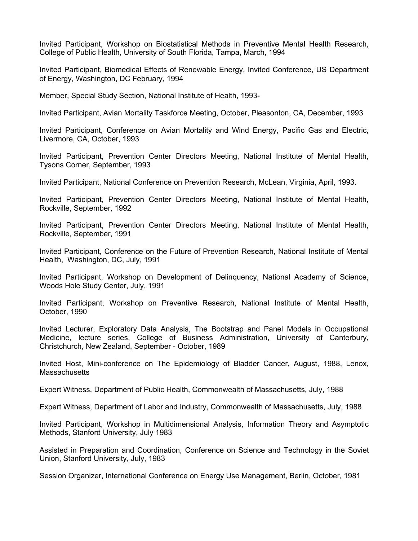Invited Participant, Workshop on Biostatistical Methods in Preventive Mental Health Research, College of Public Health, University of South Florida, Tampa, March, 1994

Invited Participant, Biomedical Effects of Renewable Energy, Invited Conference, US Department of Energy, Washington, DC February, 1994

Member, Special Study Section, National Institute of Health, 1993-

Invited Participant, Avian Mortality Taskforce Meeting, October, Pleasonton, CA, December, 1993

Invited Participant, Conference on Avian Mortality and Wind Energy, Pacific Gas and Electric, Livermore, CA, October, 1993

Invited Participant, Prevention Center Directors Meeting, National Institute of Mental Health, Tysons Corner, September, 1993

Invited Participant, National Conference on Prevention Research, McLean, Virginia, April, 1993.

Invited Participant, Prevention Center Directors Meeting, National Institute of Mental Health, Rockville, September, 1992

Invited Participant, Prevention Center Directors Meeting, National Institute of Mental Health, Rockville, September, 1991

Invited Participant, Conference on the Future of Prevention Research, National Institute of Mental Health, Washington, DC, July, 1991

Invited Participant, Workshop on Development of Delinquency, National Academy of Science, Woods Hole Study Center, July, 1991

Invited Participant, Workshop on Preventive Research, National Institute of Mental Health, October, 1990

Invited Lecturer, Exploratory Data Analysis, The Bootstrap and Panel Models in Occupational Medicine, lecture series, College of Business Administration, University of Canterbury, Christchurch, New Zealand, September - October, 1989

Invited Host, Mini-conference on The Epidemiology of Bladder Cancer, August, 1988, Lenox, **Massachusetts** 

Expert Witness, Department of Public Health, Commonwealth of Massachusetts, July, 1988

Expert Witness, Department of Labor and Industry, Commonwealth of Massachusetts, July, 1988

Invited Participant, Workshop in Multidimensional Analysis, Information Theory and Asymptotic Methods, Stanford University, July 1983

Assisted in Preparation and Coordination, Conference on Science and Technology in the Soviet Union, Stanford University, July, 1983

Session Organizer, International Conference on Energy Use Management, Berlin, October, 1981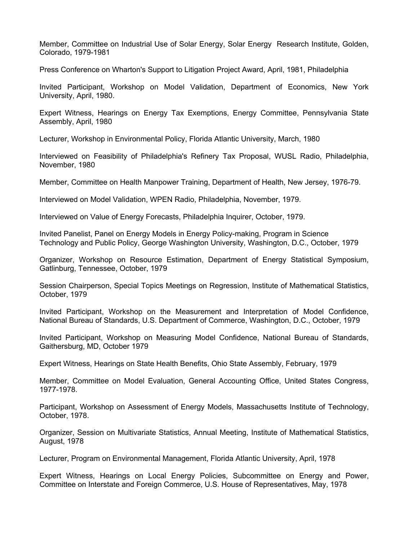Member, Committee on Industrial Use of Solar Energy, Solar Energy Research Institute, Golden, Colorado, 1979-1981

Press Conference on Wharton's Support to Litigation Project Award, April, 1981, Philadelphia

Invited Participant, Workshop on Model Validation, Department of Economics, New York University, April, 1980.

Expert Witness, Hearings on Energy Tax Exemptions, Energy Committee, Pennsylvania State Assembly, April, 1980

Lecturer, Workshop in Environmental Policy, Florida Atlantic University, March, 1980

Interviewed on Feasibility of Philadelphia's Refinery Tax Proposal, WUSL Radio, Philadelphia, November, 1980

Member, Committee on Health Manpower Training, Department of Health, New Jersey, 1976-79.

Interviewed on Model Validation, WPEN Radio, Philadelphia, November, 1979.

Interviewed on Value of Energy Forecasts, Philadelphia Inquirer, October, 1979.

Invited Panelist, Panel on Energy Models in Energy Policy-making, Program in Science Technology and Public Policy, George Washington University, Washington, D.C., October, 1979

Organizer, Workshop on Resource Estimation, Department of Energy Statistical Symposium, Gatlinburg, Tennessee, October, 1979

Session Chairperson, Special Topics Meetings on Regression, Institute of Mathematical Statistics, October, 1979

Invited Participant, Workshop on the Measurement and Interpretation of Model Confidence, National Bureau of Standards, U.S. Department of Commerce, Washington, D.C., October, 1979

Invited Participant, Workshop on Measuring Model Confidence, National Bureau of Standards, Gaithersburg, MD, October 1979

Expert Witness, Hearings on State Health Benefits, Ohio State Assembly, February, 1979

Member, Committee on Model Evaluation, General Accounting Office, United States Congress, 1977-1978.

Participant, Workshop on Assessment of Energy Models, Massachusetts Institute of Technology, October, 1978.

Organizer, Session on Multivariate Statistics, Annual Meeting, Institute of Mathematical Statistics, August, 1978

Lecturer, Program on Environmental Management, Florida Atlantic University, April, 1978

Expert Witness, Hearings on Local Energy Policies, Subcommittee on Energy and Power, Committee on Interstate and Foreign Commerce, U.S. House of Representatives, May, 1978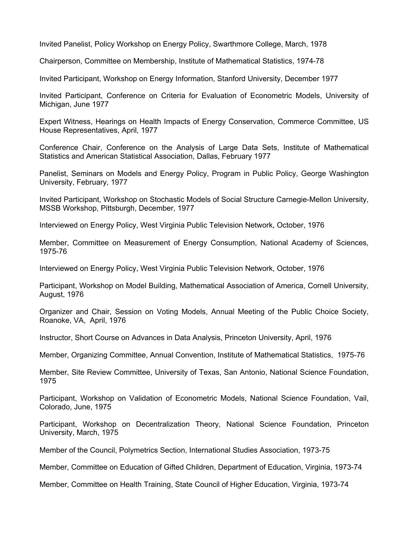Invited Panelist, Policy Workshop on Energy Policy, Swarthmore College, March, 1978

Chairperson, Committee on Membership, Institute of Mathematical Statistics, 1974-78

Invited Participant, Workshop on Energy Information, Stanford University, December 1977

Invited Participant, Conference on Criteria for Evaluation of Econometric Models, University of Michigan, June 1977

Expert Witness, Hearings on Health Impacts of Energy Conservation, Commerce Committee, US House Representatives, April, 1977

Conference Chair, Conference on the Analysis of Large Data Sets, Institute of Mathematical Statistics and American Statistical Association, Dallas, February 1977

Panelist, Seminars on Models and Energy Policy, Program in Public Policy, George Washington University, February, 1977

Invited Participant, Workshop on Stochastic Models of Social Structure Carnegie-Mellon University, MSSB Workshop, Pittsburgh, December, 1977

Interviewed on Energy Policy, West Virginia Public Television Network, October, 1976

Member, Committee on Measurement of Energy Consumption, National Academy of Sciences, 1975-76

Interviewed on Energy Policy, West Virginia Public Television Network, October, 1976

Participant, Workshop on Model Building, Mathematical Association of America, Cornell University, August, 1976

Organizer and Chair, Session on Voting Models, Annual Meeting of the Public Choice Society, Roanoke, VA, April, 1976

Instructor, Short Course on Advances in Data Analysis, Princeton University, April, 1976

Member, Organizing Committee, Annual Convention, Institute of Mathematical Statistics, 1975-76

Member, Site Review Committee, University of Texas, San Antonio, National Science Foundation, 1975

Participant, Workshop on Validation of Econometric Models, National Science Foundation, Vail, Colorado, June, 1975

Participant, Workshop on Decentralization Theory, National Science Foundation, Princeton University, March, 1975

Member of the Council, Polymetrics Section, International Studies Association, 1973-75

Member, Committee on Education of Gifted Children, Department of Education, Virginia, 1973-74

Member, Committee on Health Training, State Council of Higher Education, Virginia, 1973-74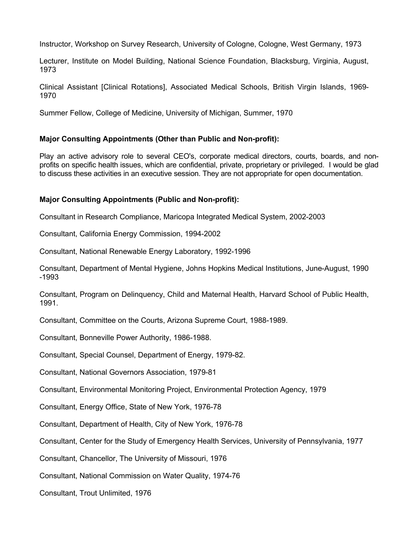Instructor, Workshop on Survey Research, University of Cologne, Cologne, West Germany, 1973

Lecturer, Institute on Model Building, National Science Foundation, Blacksburg, Virginia, August, 1973

Clinical Assistant [Clinical Rotations], Associated Medical Schools, British Virgin Islands, 1969- 1970

Summer Fellow, College of Medicine, University of Michigan, Summer, 1970

### **Major Consulting Appointments (Other than Public and Non-profit):**

Play an active advisory role to several CEO's, corporate medical directors, courts, boards, and nonprofits on specific health issues, which are confidential, private, proprietary or privileged. I would be glad to discuss these activities in an executive session. They are not appropriate for open documentation.

# **Major Consulting Appointments (Public and Non-profit):**

Consultant in Research Compliance, Maricopa Integrated Medical System, 2002-2003

Consultant, California Energy Commission, 1994-2002

Consultant, National Renewable Energy Laboratory, 1992-1996

Consultant, Department of Mental Hygiene, Johns Hopkins Medical Institutions, June-August, 1990 -1993

Consultant, Program on Delinquency, Child and Maternal Health, Harvard School of Public Health, 1991.

Consultant, Committee on the Courts, Arizona Supreme Court, 1988-1989.

Consultant, Bonneville Power Authority, 1986-1988.

Consultant, Special Counsel, Department of Energy, 1979-82.

Consultant, National Governors Association, 1979-81

Consultant, Environmental Monitoring Project, Environmental Protection Agency, 1979

Consultant, Energy Office, State of New York, 1976-78

Consultant, Department of Health, City of New York, 1976-78

Consultant, Center for the Study of Emergency Health Services, University of Pennsylvania, 1977

Consultant, Chancellor, The University of Missouri, 1976

Consultant, National Commission on Water Quality, 1974-76

Consultant, Trout Unlimited, 1976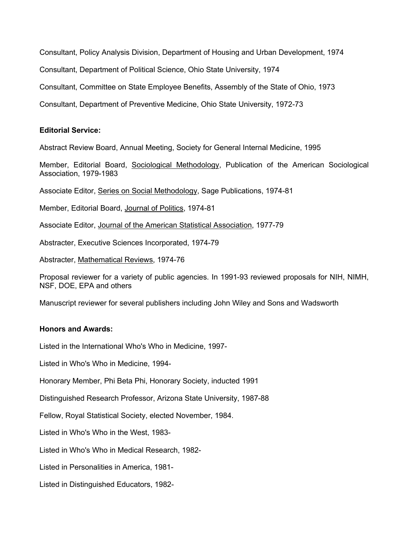Consultant, Policy Analysis Division, Department of Housing and Urban Development, 1974

Consultant, Department of Political Science, Ohio State University, 1974

Consultant, Committee on State Employee Benefits, Assembly of the State of Ohio, 1973

Consultant, Department of Preventive Medicine, Ohio State University, 1972-73

### **Editorial Service:**

Abstract Review Board, Annual Meeting, Society for General Internal Medicine, 1995

Member, Editorial Board, Sociological Methodology, Publication of the American Sociological Association, 1979-1983

Associate Editor, Series on Social Methodology, Sage Publications, 1974-81

Member, Editorial Board, Journal of Politics, 1974-81

Associate Editor, Journal of the American Statistical Association, 1977-79

Abstracter, Executive Sciences Incorporated, 1974-79

Abstracter, Mathematical Reviews, 1974-76

Proposal reviewer for a variety of public agencies. In 1991-93 reviewed proposals for NIH, NIMH, NSF, DOE, EPA and others

Manuscript reviewer for several publishers including John Wiley and Sons and Wadsworth

### **Honors and Awards:**

Listed in the International Who's Who in Medicine, 1997-

Listed in Who's Who in Medicine, 1994-

Honorary Member, Phi Beta Phi, Honorary Society, inducted 1991

Distinguished Research Professor, Arizona State University, 1987-88

Fellow, Royal Statistical Society, elected November, 1984.

Listed in Who's Who in the West, 1983-

Listed in Who's Who in Medical Research, 1982-

Listed in Personalities in America, 1981-

Listed in Distinguished Educators, 1982-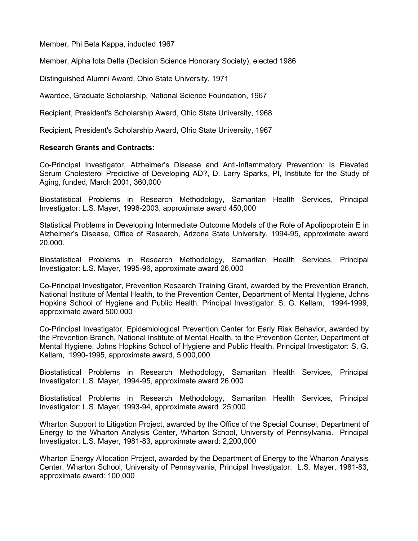Member, Phi Beta Kappa, inducted 1967

Member, Alpha Iota Delta (Decision Science Honorary Society), elected 1986

Distinguished Alumni Award, Ohio State University, 1971

Awardee, Graduate Scholarship, National Science Foundation, 1967

Recipient, President's Scholarship Award, Ohio State University, 1968

Recipient, President's Scholarship Award, Ohio State University, 1967

### **Research Grants and Contracts:**

Co-Principal Investigator, Alzheimer's Disease and Anti-Inflammatory Prevention: Is Elevated Serum Cholesterol Predictive of Developing AD?, D. Larry Sparks, PI, Institute for the Study of Aging, funded, March 2001, 360,000

Biostatistical Problems in Research Methodology, Samaritan Health Services, Principal Investigator: L.S. Mayer, 1996-2003, approximate award 450,000

Statistical Problems in Developing Intermediate Outcome Models of the Role of Apolipoprotein E in Alzheimer's Disease, Office of Research, Arizona State University, 1994-95, approximate award 20,000.

Biostatistical Problems in Research Methodology, Samaritan Health Services, Principal Investigator: L.S. Mayer, 1995-96, approximate award 26,000

Co-Principal Investigator, Prevention Research Training Grant, awarded by the Prevention Branch, National Institute of Mental Health, to the Prevention Center, Department of Mental Hygiene, Johns Hopkins School of Hygiene and Public Health. Principal Investigator: S. G. Kellam, 1994-1999, approximate award 500,000

Co-Principal Investigator, Epidemiological Prevention Center for Early Risk Behavior, awarded by the Prevention Branch, National Institute of Mental Health, to the Prevention Center, Department of Mental Hygiene, Johns Hopkins School of Hygiene and Public Health. Principal Investigator: S. G. Kellam, 1990-1995, approximate award, 5,000,000

Biostatistical Problems in Research Methodology, Samaritan Health Services, Principal Investigator: L.S. Mayer, 1994-95, approximate award 26,000

Biostatistical Problems in Research Methodology, Samaritan Health Services, Principal Investigator: L.S. Mayer, 1993-94, approximate award 25,000

Wharton Support to Litigation Project, awarded by the Office of the Special Counsel, Department of Energy to the Wharton Analysis Center, Wharton School, University of Pennsylvania. Principal Investigator: L.S. Mayer, 1981-83, approximate award: 2,200,000

Wharton Energy Allocation Project, awarded by the Department of Energy to the Wharton Analysis Center, Wharton School, University of Pennsylvania, Principal Investigator: L.S. Mayer, 1981-83, approximate award: 100,000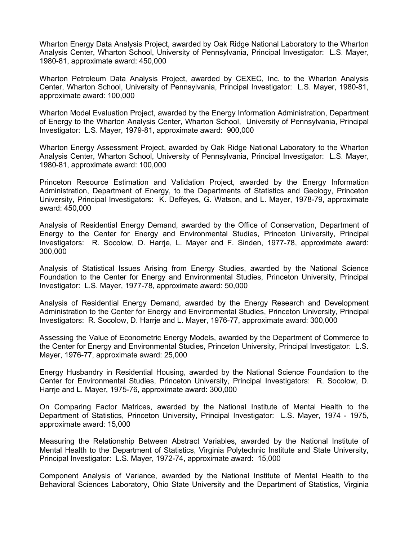Wharton Energy Data Analysis Project, awarded by Oak Ridge National Laboratory to the Wharton Analysis Center, Wharton School, University of Pennsylvania, Principal Investigator: L.S. Mayer, 1980-81, approximate award: 450,000

Wharton Petroleum Data Analysis Project, awarded by CEXEC, Inc. to the Wharton Analysis Center, Wharton School, University of Pennsylvania, Principal Investigator: L.S. Mayer, 1980-81, approximate award: 100,000

Wharton Model Evaluation Project, awarded by the Energy Information Administration, Department of Energy to the Wharton Analysis Center, Wharton School, University of Pennsylvania, Principal Investigator: L.S. Mayer, 1979-81, approximate award: 900,000

Wharton Energy Assessment Project, awarded by Oak Ridge National Laboratory to the Wharton Analysis Center, Wharton School, University of Pennsylvania, Principal Investigator: L.S. Mayer, 1980-81, approximate award: 100,000

Princeton Resource Estimation and Validation Project, awarded by the Energy Information Administration, Department of Energy, to the Departments of Statistics and Geology, Princeton University, Principal Investigators: K. Deffeyes, G. Watson, and L. Mayer, 1978-79, approximate award: 450,000

Analysis of Residential Energy Demand, awarded by the Office of Conservation, Department of Energy to the Center for Energy and Environmental Studies, Princeton University, Principal Investigators: R. Socolow, D. Harrje, L. Mayer and F. Sinden, 1977-78, approximate award: 300,000

Analysis of Statistical Issues Arising from Energy Studies, awarded by the National Science Foundation to the Center for Energy and Environmental Studies, Princeton University, Principal Investigator: L.S. Mayer, 1977-78, approximate award: 50,000

Analysis of Residential Energy Demand, awarded by the Energy Research and Development Administration to the Center for Energy and Environmental Studies, Princeton University, Principal Investigators: R. Socolow, D. Harrje and L. Mayer, 1976-77, approximate award: 300,000

Assessing the Value of Econometric Energy Models, awarded by the Department of Commerce to the Center for Energy and Environmental Studies, Princeton University, Principal Investigator: L.S. Mayer, 1976-77, approximate award: 25,000

Energy Husbandry in Residential Housing, awarded by the National Science Foundation to the Center for Environmental Studies, Princeton University, Principal Investigators: R. Socolow, D. Harrje and L. Mayer, 1975-76, approximate award: 300,000

On Comparing Factor Matrices, awarded by the National Institute of Mental Health to the Department of Statistics, Princeton University, Principal Investigator: L.S. Mayer, 1974 - 1975, approximate award: 15,000

Measuring the Relationship Between Abstract Variables, awarded by the National Institute of Mental Health to the Department of Statistics, Virginia Polytechnic Institute and State University, Principal Investigator: L.S. Mayer, 1972-74, approximate award: 15,000

Component Analysis of Variance, awarded by the National Institute of Mental Health to the Behavioral Sciences Laboratory, Ohio State University and the Department of Statistics, Virginia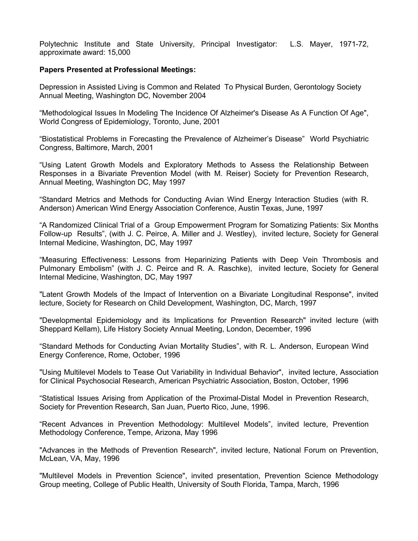Polytechnic Institute and State University, Principal Investigator: L.S. Mayer, 1971-72, approximate award: 15,000

### **Papers Presented at Professional Meetings:**

Depression in Assisted Living is Common and Related To Physical Burden, Gerontology Society Annual Meeting, Washington DC, November 2004

"Methodological Issues In Modeling The Incidence Of Alzheimer's Disease As A Function Of Age", World Congress of Epidemiology, Toronto, June, 2001

"Biostatistical Problems in Forecasting the Prevalence of Alzheimer's Disease" World Psychiatric Congress, Baltimore, March, 2001

"Using Latent Growth Models and Exploratory Methods to Assess the Relationship Between Responses in a Bivariate Prevention Model (with M. Reiser) Society for Prevention Research, Annual Meeting, Washington DC, May 1997

"Standard Metrics and Methods for Conducting Avian Wind Energy Interaction Studies (with R. Anderson) American Wind Energy Association Conference, Austin Texas, June, 1997

"A Randomized Clinical Trial of a Group Empowerment Program for Somatizing Patients: Six Months Follow-up Results", (with J. C. Peirce, A. Miller and J. Westley), invited lecture, Society for General Internal Medicine, Washington, DC, May 1997

"Measuring Effectiveness: Lessons from Heparinizing Patients with Deep Vein Thrombosis and Pulmonary Embolism" (with J. C. Peirce and R. A. Raschke), invited lecture, Society for General Internal Medicine, Washington, DC, May 1997

"Latent Growth Models of the Impact of Intervention on a Bivariate Longitudinal Response", invited lecture, Society for Research on Child Development, Washington, DC, March, 1997

"Developmental Epidemiology and its Implications for Prevention Research" invited lecture (with Sheppard Kellam), Life History Society Annual Meeting, London, December, 1996

"Standard Methods for Conducting Avian Mortality Studies", with R. L. Anderson, European Wind Energy Conference, Rome, October, 1996

"Using Multilevel Models to Tease Out Variability in Individual Behavior", invited lecture, Association for Clinical Psychosocial Research, American Psychiatric Association, Boston, October, 1996

"Statistical Issues Arising from Application of the Proximal-Distal Model in Prevention Research, Society for Prevention Research, San Juan, Puerto Rico, June, 1996.

"Recent Advances in Prevention Methodology: Multilevel Models", invited lecture, Prevention Methodology Conference, Tempe, Arizona, May 1996

"Advances in the Methods of Prevention Research", invited lecture, National Forum on Prevention, McLean, VA, May, 1996

"Multilevel Models in Prevention Science", invited presentation, Prevention Science Methodology Group meeting, College of Public Health, University of South Florida, Tampa, March, 1996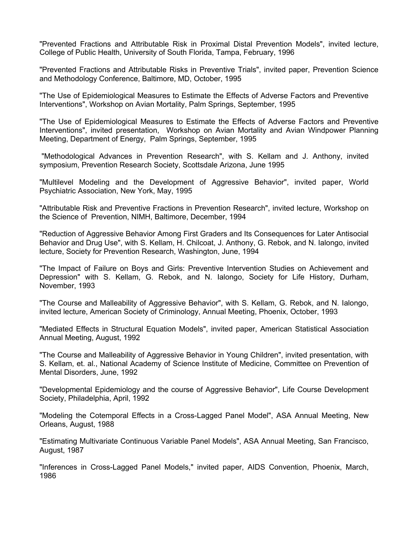"Prevented Fractions and Attributable Risk in Proximal Distal Prevention Models", invited lecture, College of Public Health, University of South Florida, Tampa, February, 1996

"Prevented Fractions and Attributable Risks in Preventive Trials", invited paper, Prevention Science and Methodology Conference, Baltimore, MD, October, 1995

"The Use of Epidemiological Measures to Estimate the Effects of Adverse Factors and Preventive Interventions", Workshop on Avian Mortality, Palm Springs, September, 1995

"The Use of Epidemiological Measures to Estimate the Effects of Adverse Factors and Preventive Interventions", invited presentation, Workshop on Avian Mortality and Avian Windpower Planning Meeting, Department of Energy, Palm Springs, September, 1995

"Methodological Advances in Prevention Research", with S. Kellam and J. Anthony, invited symposium, Prevention Research Society, Scottsdale Arizona, June 1995

"Multilevel Modeling and the Development of Aggressive Behavior", invited paper, World Psychiatric Association, New York, May, 1995

"Attributable Risk and Preventive Fractions in Prevention Research", invited lecture, Workshop on the Science of Prevention, NIMH, Baltimore, December, 1994

"Reduction of Aggressive Behavior Among First Graders and Its Consequences for Later Antisocial Behavior and Drug Use", with S. Kellam, H. Chilcoat, J. Anthony, G. Rebok, and N. Ialongo, invited lecture, Society for Prevention Research, Washington, June, 1994

"The Impact of Failure on Boys and Girls: Preventive Intervention Studies on Achievement and Depression" with S. Kellam, G. Rebok, and N. Ialongo, Society for Life History, Durham, November, 1993

"The Course and Malleability of Aggressive Behavior", with S. Kellam, G. Rebok, and N. Ialongo, invited lecture, American Society of Criminology, Annual Meeting, Phoenix, October, 1993

"Mediated Effects in Structural Equation Models", invited paper, American Statistical Association Annual Meeting, August, 1992

"The Course and Malleability of Aggressive Behavior in Young Children", invited presentation, with S. Kellam, et. al., National Academy of Science Institute of Medicine, Committee on Prevention of Mental Disorders, June, 1992

"Developmental Epidemiology and the course of Aggressive Behavior", Life Course Development Society, Philadelphia, April, 1992

"Modeling the Cotemporal Effects in a Cross-Lagged Panel Model", ASA Annual Meeting, New Orleans, August, 1988

"Estimating Multivariate Continuous Variable Panel Models", ASA Annual Meeting, San Francisco, August, 1987

"Inferences in Cross-Lagged Panel Models," invited paper, AIDS Convention, Phoenix, March, 1986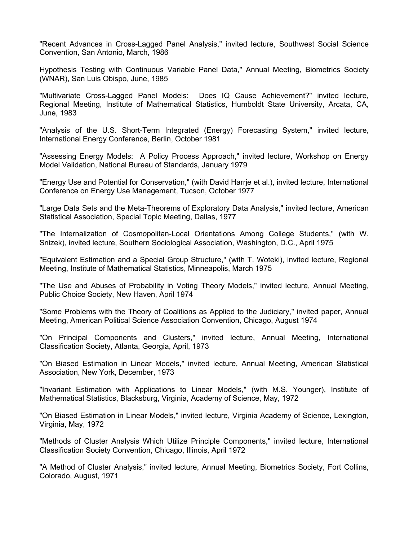"Recent Advances in Cross-Lagged Panel Analysis," invited lecture, Southwest Social Science Convention, San Antonio, March, 1986

Hypothesis Testing with Continuous Variable Panel Data," Annual Meeting, Biometrics Society (WNAR), San Luis Obispo, June, 1985

"Multivariate Cross-Lagged Panel Models: Does IQ Cause Achievement?" invited lecture, Regional Meeting, Institute of Mathematical Statistics, Humboldt State University, Arcata, CA, June, 1983

"Analysis of the U.S. Short-Term Integrated (Energy) Forecasting System," invited lecture, International Energy Conference, Berlin, October 1981

"Assessing Energy Models: A Policy Process Approach," invited lecture, Workshop on Energy Model Validation, National Bureau of Standards, January 1979

"Energy Use and Potential for Conservation," (with David Harrje et al.), invited lecture, International Conference on Energy Use Management, Tucson, October 1977

"Large Data Sets and the Meta-Theorems of Exploratory Data Analysis," invited lecture, American Statistical Association, Special Topic Meeting, Dallas, 1977

"The Internalization of Cosmopolitan-Local Orientations Among College Students," (with W. Snizek), invited lecture, Southern Sociological Association, Washington, D.C., April 1975

"Equivalent Estimation and a Special Group Structure," (with T. Woteki), invited lecture, Regional Meeting, Institute of Mathematical Statistics, Minneapolis, March 1975

"The Use and Abuses of Probability in Voting Theory Models," invited lecture, Annual Meeting, Public Choice Society, New Haven, April 1974

"Some Problems with the Theory of Coalitions as Applied to the Judiciary," invited paper, Annual Meeting, American Political Science Association Convention, Chicago, August 1974

"On Principal Components and Clusters," invited lecture, Annual Meeting, International Classification Society, Atlanta, Georgia, April, 1973

"On Biased Estimation in Linear Models," invited lecture, Annual Meeting, American Statistical Association, New York, December, 1973

"Invariant Estimation with Applications to Linear Models," (with M.S. Younger), Institute of Mathematical Statistics, Blacksburg, Virginia, Academy of Science, May, 1972

"On Biased Estimation in Linear Models," invited lecture, Virginia Academy of Science, Lexington, Virginia, May, 1972

"Methods of Cluster Analysis Which Utilize Principle Components," invited lecture, International Classification Society Convention, Chicago, Illinois, April 1972

"A Method of Cluster Analysis," invited lecture, Annual Meeting, Biometrics Society, Fort Collins, Colorado, August, 1971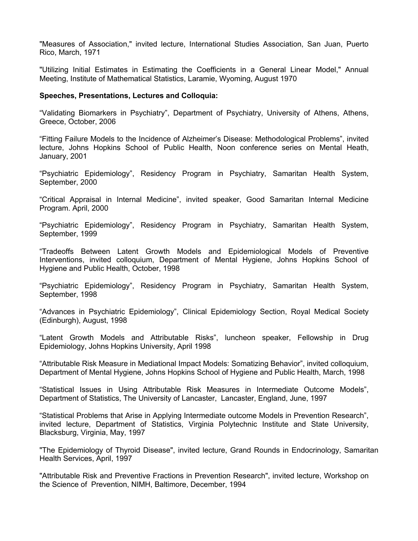"Measures of Association," invited lecture, International Studies Association, San Juan, Puerto Rico, March, 1971

"Utilizing Initial Estimates in Estimating the Coefficients in a General Linear Model," Annual Meeting, Institute of Mathematical Statistics, Laramie, Wyoming, August 1970

### **Speeches, Presentations, Lectures and Colloquia:**

"Validating Biomarkers in Psychiatry", Department of Psychiatry, University of Athens, Athens, Greece, October, 2006

"Fitting Failure Models to the Incidence of Alzheimer's Disease: Methodological Problems", invited lecture, Johns Hopkins School of Public Health, Noon conference series on Mental Heath, January, 2001

"Psychiatric Epidemiology", Residency Program in Psychiatry, Samaritan Health System, September, 2000

"Critical Appraisal in Internal Medicine", invited speaker, Good Samaritan Internal Medicine Program. April, 2000

"Psychiatric Epidemiology", Residency Program in Psychiatry, Samaritan Health System, September, 1999

"Tradeoffs Between Latent Growth Models and Epidemiological Models of Preventive Interventions, invited colloquium, Department of Mental Hygiene, Johns Hopkins School of Hygiene and Public Health, October, 1998

"Psychiatric Epidemiology", Residency Program in Psychiatry, Samaritan Health System, September, 1998

"Advances in Psychiatric Epidemiology", Clinical Epidemiology Section, Royal Medical Society (Edinburgh), August, 1998

"Latent Growth Models and Attributable Risks", luncheon speaker, Fellowship in Drug Epidemiology, Johns Hopkins University, April 1998

"Attributable Risk Measure in Mediational Impact Models: Somatizing Behavior", invited colloquium, Department of Mental Hygiene, Johns Hopkins School of Hygiene and Public Health, March, 1998

"Statistical Issues in Using Attributable Risk Measures in Intermediate Outcome Models", Department of Statistics, The University of Lancaster, Lancaster, England, June, 1997

"Statistical Problems that Arise in Applying Intermediate outcome Models in Prevention Research", invited lecture, Department of Statistics, Virginia Polytechnic Institute and State University, Blacksburg, Virginia, May, 1997

"The Epidemiology of Thyroid Disease", invited lecture, Grand Rounds in Endocrinology, Samaritan Health Services, April, 1997

"Attributable Risk and Preventive Fractions in Prevention Research", invited lecture, Workshop on the Science of Prevention, NIMH, Baltimore, December, 1994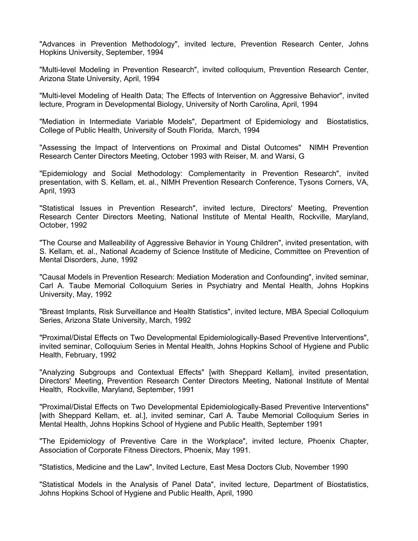"Advances in Prevention Methodology", invited lecture, Prevention Research Center, Johns Hopkins University, September, 1994

"Multi-level Modeling in Prevention Research", invited colloquium, Prevention Research Center, Arizona State University, April, 1994

"Multi-level Modeling of Health Data; The Effects of Intervention on Aggressive Behavior", invited lecture, Program in Developmental Biology, University of North Carolina, April, 1994

"Mediation in Intermediate Variable Models", Department of Epidemiology and Biostatistics, College of Public Health, University of South Florida, March, 1994

"Assessing the Impact of Interventions on Proximal and Distal Outcomes" NIMH Prevention Research Center Directors Meeting, October 1993 with Reiser, M. and Warsi, G

"Epidemiology and Social Methodology: Complementarity in Prevention Research", invited presentation, with S. Kellam, et. al., NIMH Prevention Research Conference, Tysons Corners, VA, April, 1993

"Statistical Issues in Prevention Research", invited lecture, Directors' Meeting, Prevention Research Center Directors Meeting, National Institute of Mental Health, Rockville, Maryland, October, 1992

"The Course and Malleability of Aggressive Behavior in Young Children", invited presentation, with S. Kellam, et. al., National Academy of Science Institute of Medicine, Committee on Prevention of Mental Disorders, June, 1992

"Causal Models in Prevention Research: Mediation Moderation and Confounding", invited seminar, Carl A. Taube Memorial Colloquium Series in Psychiatry and Mental Health, Johns Hopkins University, May, 1992

"Breast Implants, Risk Surveillance and Health Statistics", invited lecture, MBA Special Colloquium Series, Arizona State University, March, 1992

"Proximal/Distal Effects on Two Developmental Epidemiologically-Based Preventive Interventions", invited seminar, Colloquium Series in Mental Health, Johns Hopkins School of Hygiene and Public Health, February, 1992

"Analyzing Subgroups and Contextual Effects" [with Sheppard Kellam], invited presentation, Directors' Meeting, Prevention Research Center Directors Meeting, National Institute of Mental Health, Rockville, Maryland, September, 1991

"Proximal/Distal Effects on Two Developmental Epidemiologically-Based Preventive Interventions" [with Sheppard Kellam, et. al.], invited seminar, Carl A. Taube Memorial Colloquium Series in Mental Health, Johns Hopkins School of Hygiene and Public Health, September 1991

"The Epidemiology of Preventive Care in the Workplace", invited lecture, Phoenix Chapter, Association of Corporate Fitness Directors, Phoenix, May 1991.

"Statistics, Medicine and the Law", Invited Lecture, East Mesa Doctors Club, November 1990

"Statistical Models in the Analysis of Panel Data", invited lecture, Department of Biostatistics, Johns Hopkins School of Hygiene and Public Health, April, 1990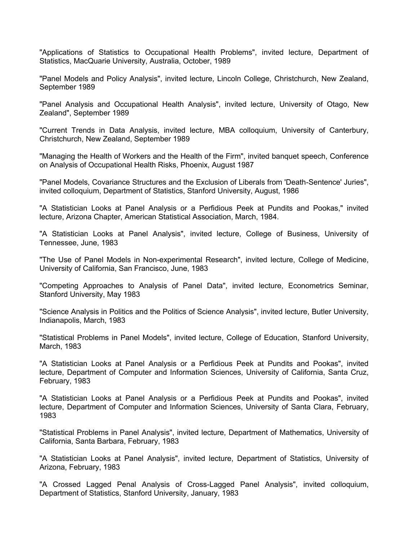"Applications of Statistics to Occupational Health Problems", invited lecture, Department of Statistics, MacQuarie University, Australia, October, 1989

"Panel Models and Policy Analysis", invited lecture, Lincoln College, Christchurch, New Zealand, September 1989

"Panel Analysis and Occupational Health Analysis", invited lecture, University of Otago, New Zealand", September 1989

"Current Trends in Data Analysis, invited lecture, MBA colloquium, University of Canterbury, Christchurch, New Zealand, September 1989

"Managing the Health of Workers and the Health of the Firm", invited banquet speech, Conference on Analysis of Occupational Health Risks, Phoenix, August 1987

"Panel Models, Covariance Structures and the Exclusion of Liberals from 'Death-Sentence' Juries", invited colloquium, Department of Statistics, Stanford University, August, 1986

"A Statistician Looks at Panel Analysis or a Perfidious Peek at Pundits and Pookas," invited lecture, Arizona Chapter, American Statistical Association, March, 1984.

"A Statistician Looks at Panel Analysis", invited lecture, College of Business, University of Tennessee, June, 1983

"The Use of Panel Models in Non-experimental Research", invited lecture, College of Medicine, University of California, San Francisco, June, 1983

"Competing Approaches to Analysis of Panel Data", invited lecture, Econometrics Seminar, Stanford University, May 1983

"Science Analysis in Politics and the Politics of Science Analysis", invited lecture, Butler University, Indianapolis, March, 1983

"Statistical Problems in Panel Models", invited lecture, College of Education, Stanford University, March, 1983

"A Statistician Looks at Panel Analysis or a Perfidious Peek at Pundits and Pookas", invited lecture, Department of Computer and Information Sciences, University of California, Santa Cruz, February, 1983

"A Statistician Looks at Panel Analysis or a Perfidious Peek at Pundits and Pookas", invited lecture, Department of Computer and Information Sciences, University of Santa Clara, February, 1983

"Statistical Problems in Panel Analysis", invited lecture, Department of Mathematics, University of California, Santa Barbara, February, 1983

"A Statistician Looks at Panel Analysis", invited lecture, Department of Statistics, University of Arizona, February, 1983

"A Crossed Lagged Penal Analysis of Cross-Lagged Panel Analysis", invited colloquium, Department of Statistics, Stanford University, January, 1983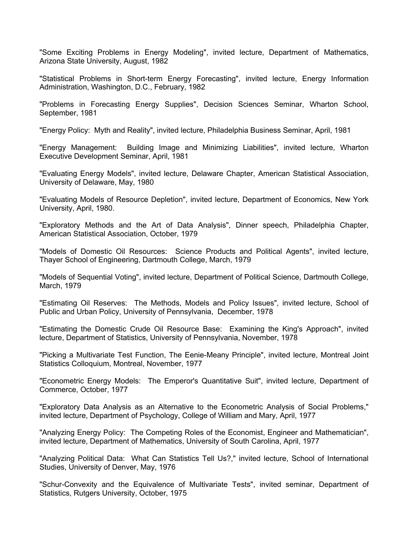"Some Exciting Problems in Energy Modeling", invited lecture, Department of Mathematics, Arizona State University, August, 1982

"Statistical Problems in Short-term Energy Forecasting", invited lecture, Energy Information Administration, Washington, D.C., February, 1982

"Problems in Forecasting Energy Supplies", Decision Sciences Seminar, Wharton School, September, 1981

"Energy Policy: Myth and Reality", invited lecture, Philadelphia Business Seminar, April, 1981

"Energy Management: Building Image and Minimizing Liabilities", invited lecture, Wharton Executive Development Seminar, April, 1981

"Evaluating Energy Models", invited lecture, Delaware Chapter, American Statistical Association, University of Delaware, May, 1980

"Evaluating Models of Resource Depletion", invited lecture, Department of Economics, New York University, April, 1980.

"Exploratory Methods and the Art of Data Analysis", Dinner speech, Philadelphia Chapter, American Statistical Association, October, 1979

"Models of Domestic Oil Resources: Science Products and Political Agents", invited lecture, Thayer School of Engineering, Dartmouth College, March, 1979

"Models of Sequential Voting", invited lecture, Department of Political Science, Dartmouth College, March, 1979

"Estimating Oil Reserves: The Methods, Models and Policy Issues", invited lecture, School of Public and Urban Policy, University of Pennsylvania, December, 1978

"Estimating the Domestic Crude Oil Resource Base: Examining the King's Approach", invited lecture, Department of Statistics, University of Pennsylvania, November, 1978

"Picking a Multivariate Test Function, The Eenie-Meany Principle", invited lecture, Montreal Joint Statistics Colloquium, Montreal, November, 1977

"Econometric Energy Models: The Emperor's Quantitative Suit", invited lecture, Department of Commerce, October, 1977

"Exploratory Data Analysis as an Alternative to the Econometric Analysis of Social Problems," invited lecture, Department of Psychology, College of William and Mary, April, 1977

"Analyzing Energy Policy: The Competing Roles of the Economist, Engineer and Mathematician", invited lecture, Department of Mathematics, University of South Carolina, April, 1977

"Analyzing Political Data: What Can Statistics Tell Us?," invited lecture, School of International Studies, University of Denver, May, 1976

"Schur-Convexity and the Equivalence of Multivariate Tests", invited seminar, Department of Statistics, Rutgers University, October, 1975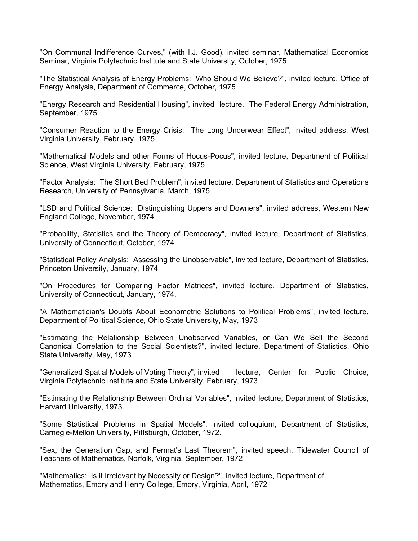"On Communal Indifference Curves," (with I.J. Good), invited seminar, Mathematical Economics Seminar, Virginia Polytechnic Institute and State University, October, 1975

"The Statistical Analysis of Energy Problems: Who Should We Believe?", invited lecture, Office of Energy Analysis, Department of Commerce, October, 1975

"Energy Research and Residential Housing", invited lecture, The Federal Energy Administration, September, 1975

"Consumer Reaction to the Energy Crisis: The Long Underwear Effect", invited address, West Virginia University, February, 1975

"Mathematical Models and other Forms of Hocus-Pocus", invited lecture, Department of Political Science, West Virginia University, February, 1975

"Factor Analysis: The Short Bed Problem", invited lecture, Department of Statistics and Operations Research, University of Pennsylvania, March, 1975

"LSD and Political Science: Distinguishing Uppers and Downers", invited address, Western New England College, November, 1974

"Probability, Statistics and the Theory of Democracy", invited lecture, Department of Statistics, University of Connecticut, October, 1974

"Statistical Policy Analysis: Assessing the Unobservable", invited lecture, Department of Statistics, Princeton University, January, 1974

"On Procedures for Comparing Factor Matrices", invited lecture, Department of Statistics, University of Connecticut, January, 1974.

"A Mathematician's Doubts About Econometric Solutions to Political Problems", invited lecture, Department of Political Science, Ohio State University, May, 1973

"Estimating the Relationship Between Unobserved Variables, or Can We Sell the Second Canonical Correlation to the Social Scientists?", invited lecture, Department of Statistics, Ohio State University, May, 1973

"Generalized Spatial Models of Voting Theory", invited lecture, Center for Public Choice, Virginia Polytechnic Institute and State University, February, 1973

"Estimating the Relationship Between Ordinal Variables", invited lecture, Department of Statistics, Harvard University, 1973.

"Some Statistical Problems in Spatial Models", invited colloquium, Department of Statistics, Carnegie-Mellon University, Pittsburgh, October, 1972.

"Sex, the Generation Gap, and Fermat's Last Theorem", invited speech, Tidewater Council of Teachers of Mathematics, Norfolk, Virginia, September, 1972

"Mathematics: Is it Irrelevant by Necessity or Design?", invited lecture, Department of Mathematics, Emory and Henry College, Emory, Virginia, April, 1972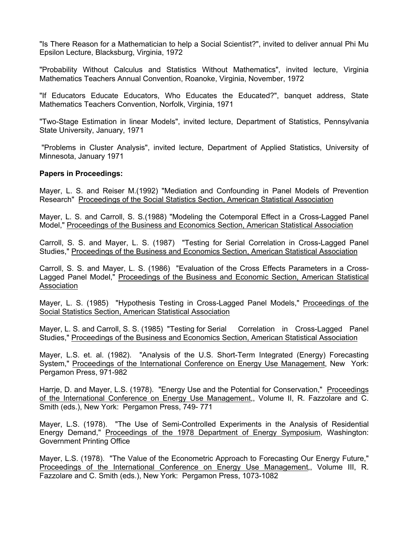"Is There Reason for a Mathematician to help a Social Scientist?", invited to deliver annual Phi Mu Epsilon Lecture, Blacksburg, Virginia, 1972

"Probability Without Calculus and Statistics Without Mathematics", invited lecture, Virginia Mathematics Teachers Annual Convention, Roanoke, Virginia, November, 1972

"If Educators Educate Educators, Who Educates the Educated?", banquet address, State Mathematics Teachers Convention, Norfolk, Virginia, 1971

"Two-Stage Estimation in linear Models", invited lecture, Department of Statistics, Pennsylvania State University, January, 1971

"Problems in Cluster Analysis", invited lecture, Department of Applied Statistics, University of Minnesota, January 1971

### **Papers in Proceedings:**

Mayer, L. S. and Reiser M.(1992) "Mediation and Confounding in Panel Models of Prevention Research" Proceedings of the Social Statistics Section, American Statistical Association

Mayer, L. S. and Carroll, S. S.(1988) "Modeling the Cotemporal Effect in a Cross-Lagged Panel Model," Proceedings of the Business and Economics Section, American Statistical Association

Carroll, S. S. and Mayer, L. S. (1987) "Testing for Serial Correlation in Cross-Lagged Panel Studies," Proceedings of the Business and Economics Section, American Statistical Association

Carroll, S. S. and Mayer, L. S. (1986) "Evaluation of the Cross Effects Parameters in a Cross-Lagged Panel Model," Proceedings of the Business and Economic Section, American Statistical Association

Mayer, L. S. (1985) "Hypothesis Testing in Cross-Lagged Panel Models," Proceedings of the Social Statistics Section, American Statistical Association

Mayer, L. S. and Carroll, S. S. (1985) "Testing for Serial Correlation in Cross-Lagged Panel Studies," Proceedings of the Business and Economics Section, American Statistical Association

Mayer, L.S. et. al. (1982). "Analysis of the U.S. Short-Term Integrated (Energy) Forecasting System," Proceedings of the International Conference on Energy Use Management, New York: Pergamon Press, 971-982

Harrje, D. and Mayer, L.S. (1978). "Energy Use and the Potential for Conservation," Proceedings of the International Conference on Energy Use Management,, Volume II, R. Fazzolare and C. Smith (eds.), New York: Pergamon Press, 749- 771

Mayer, L.S. (1978). "The Use of Semi-Controlled Experiments in the Analysis of Residential Energy Demand," Proceedings of the 1978 Department of Energy Symposium, Washington: Government Printing Office

Mayer, L.S. (1978). "The Value of the Econometric Approach to Forecasting Our Energy Future," Proceedings of the International Conference on Energy Use Management,, Volume III, R. Fazzolare and C. Smith (eds.), New York: Pergamon Press, 1073-1082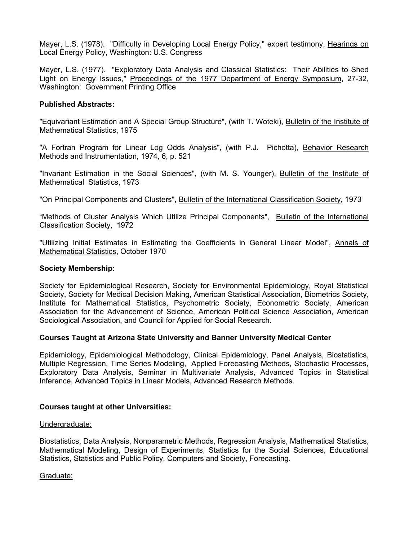Mayer, L.S. (1978). "Difficulty in Developing Local Energy Policy," expert testimony, Hearings on Local Energy Policy, Washington: U.S. Congress

Mayer, L.S. (1977). "Exploratory Data Analysis and Classical Statistics: Their Abilities to Shed Light on Energy Issues," Proceedings of the 1977 Department of Energy Symposium, 27-32, Washington: Government Printing Office

### **Published Abstracts:**

"Equivariant Estimation and A Special Group Structure", (with T. Woteki), Bulletin of the Institute of Mathematical Statistics, 1975

"A Fortran Program for Linear Log Odds Analysis", (with P.J. Pichotta), Behavior Research Methods and Instrumentation, 1974, 6, p. 521

"Invariant Estimation in the Social Sciences", (with M. S. Younger), Bulletin of the Institute of Mathematical Statistics, 1973

"On Principal Components and Clusters", Bulletin of the International Classification Society, 1973

"Methods of Cluster Analysis Which Utilize Principal Components", Bulletin of the International Classification Society, 1972

"Utilizing Initial Estimates in Estimating the Coefficients in General Linear Model", Annals of Mathematical Statistics, October 1970

### **Society Membership:**

Society for Epidemiological Research, Society for Environmental Epidemiology, Royal Statistical Society, Society for Medical Decision Making, American Statistical Association, Biometrics Society, Institute for Mathematical Statistics, Psychometric Society, Econometric Society, American Association for the Advancement of Science, American Political Science Association, American Sociological Association, and Council for Applied for Social Research.

### **Courses Taught at Arizona State University and Banner University Medical Center**

Epidemiology, Epidemiological Methodology, Clinical Epidemiology, Panel Analysis, Biostatistics, Multiple Regression, Time Series Modeling, Applied Forecasting Methods, Stochastic Processes, Exploratory Data Analysis, Seminar in Multivariate Analysis, Advanced Topics in Statistical Inference, Advanced Topics in Linear Models, Advanced Research Methods.

#### **Courses taught at other Universities:**

### Undergraduate:

Biostatistics, Data Analysis, Nonparametric Methods, Regression Analysis, Mathematical Statistics, Mathematical Modeling, Design of Experiments, Statistics for the Social Sciences, Educational Statistics, Statistics and Public Policy, Computers and Society, Forecasting.

Graduate: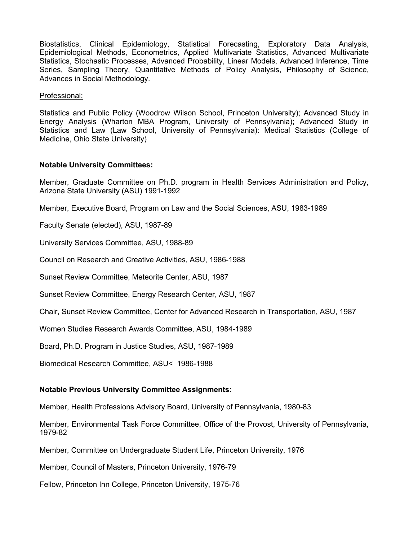Biostatistics, Clinical Epidemiology, Statistical Forecasting, Exploratory Data Analysis, Epidemiological Methods, Econometrics, Applied Multivariate Statistics, Advanced Multivariate Statistics, Stochastic Processes, Advanced Probability, Linear Models, Advanced Inference, Time Series, Sampling Theory, Quantitative Methods of Policy Analysis, Philosophy of Science, Advances in Social Methodology.

Professional:

Statistics and Public Policy (Woodrow Wilson School, Princeton University); Advanced Study in Energy Analysis (Wharton MBA Program, University of Pennsylvania); Advanced Study in Statistics and Law (Law School, University of Pennsylvania): Medical Statistics (College of Medicine, Ohio State University)

### **Notable University Committees:**

Member, Graduate Committee on Ph.D. program in Health Services Administration and Policy, Arizona State University (ASU) 1991-1992

Member, Executive Board, Program on Law and the Social Sciences, ASU, 1983-1989

Faculty Senate (elected), ASU, 1987-89

University Services Committee, ASU, 1988-89

Council on Research and Creative Activities, ASU, 1986-1988

Sunset Review Committee, Meteorite Center, ASU, 1987

Sunset Review Committee, Energy Research Center, ASU, 1987

Chair, Sunset Review Committee, Center for Advanced Research in Transportation, ASU, 1987

Women Studies Research Awards Committee, ASU, 1984-1989

Board, Ph.D. Program in Justice Studies, ASU, 1987-1989

Biomedical Research Committee, ASU< 1986-1988

# **Notable Previous University Committee Assignments:**

Member, Health Professions Advisory Board, University of Pennsylvania, 1980-83

Member, Environmental Task Force Committee, Office of the Provost, University of Pennsylvania, 1979-82

Member, Committee on Undergraduate Student Life, Princeton University, 1976

Member, Council of Masters, Princeton University, 1976-79

Fellow, Princeton Inn College, Princeton University, 1975-76